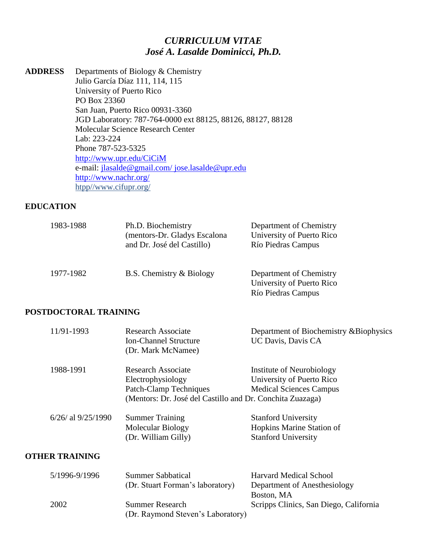# *CURRICULUM VITAE José A. Lasalde Dominicci, Ph.D.*

**ADDRESS** Departments of Biology & Chemistry Julio García Díaz 111, 114, 115 University of Puerto Rico PO Box 23360 San Juan, Puerto Rico 00931-3360 JGD Laboratory: 787-764-0000 ext 88125, 88126, 88127, 88128 Molecular Science Research Center Lab: 223-224 Phone 787-523-5325 <http://www.upr.edu/CiCiM> e-mail: [jlasalde@gmail.com/](mailto:jlasalde@gmail.com/) jose.lasalde@upr.edu <http://www.nachr.org/> htpp//www.cifupr.org/

#### **EDUCATION**

| 1983-1988 | Ph.D. Biochemistry<br>(mentors-Dr. Gladys Escalona<br>and Dr. José del Castillo) | Department of Chemistry<br>University of Puerto Rico<br>Río Piedras Campus |
|-----------|----------------------------------------------------------------------------------|----------------------------------------------------------------------------|
| 1977-1982 | B.S. Chemistry & Biology                                                         | Department of Chemistry<br>University of Puerto Rico<br>Río Piedras Campus |

#### **POSTDOCTORAL TRAINING**

| 11/91-1993            | Research Associate<br><b>Ion-Channel Structure</b><br>(Dr. Mark McNamee)                                                       | Department of Biochemistry & Biophysics<br>UC Davis, Davis CA                            |
|-----------------------|--------------------------------------------------------------------------------------------------------------------------------|------------------------------------------------------------------------------------------|
| 1988-1991             | Research Associate<br>Electrophysiology<br>Patch-Clamp Techniques<br>(Mentors: Dr. José del Castillo and Dr. Conchita Zuazaga) | Institute of Neurobiology<br>University of Puerto Rico<br><b>Medical Sciences Campus</b> |
| $6/26$ al $9/25/1990$ | <b>Summer Training</b><br>Molecular Biology<br>(Dr. William Gilly)                                                             | <b>Stanford University</b><br>Hopkins Marine Station of<br><b>Stanford University</b>    |
| <b>OTHER TRAINING</b> |                                                                                                                                |                                                                                          |
| 5/1996-9/1996         | <b>Summer Sabbatical</b><br>(Dr. Stuart Forman's laboratory)                                                                   | <b>Harvard Medical School</b><br>Department of Anesthesiology                            |

|      |                                   | Boston, MA                             |
|------|-----------------------------------|----------------------------------------|
| 2002 | Summer Research                   | Scripps Clinics, San Diego, California |
|      | (Dr. Raymond Steven's Laboratory) |                                        |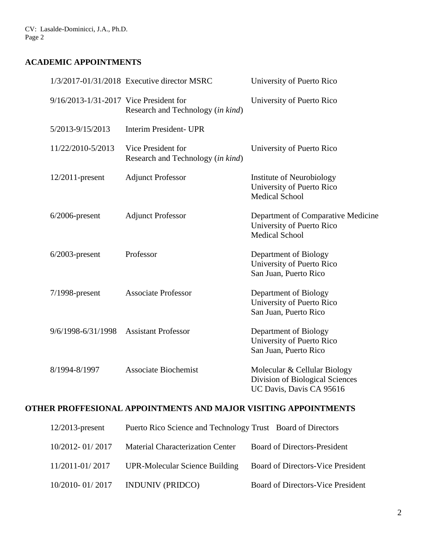### **ACADEMIC APPOINTMENTS**

|                                        | 1/3/2017-01/31/2018 Executive director MSRC             | University of Puerto Rico                                                                   |
|----------------------------------------|---------------------------------------------------------|---------------------------------------------------------------------------------------------|
| 9/16/2013-1/31-2017 Vice President for | Research and Technology (in kind)                       | University of Puerto Rico                                                                   |
| 5/2013-9/15/2013                       | <b>Interim President- UPR</b>                           |                                                                                             |
| 11/22/2010-5/2013                      | Vice President for<br>Research and Technology (in kind) | University of Puerto Rico                                                                   |
| $12/2011$ -present                     | <b>Adjunct Professor</b>                                | Institute of Neurobiology<br>University of Puerto Rico<br><b>Medical School</b>             |
| $6/2006$ -present                      | <b>Adjunct Professor</b>                                | Department of Comparative Medicine<br>University of Puerto Rico<br><b>Medical School</b>    |
| $6/2003$ -present                      | Professor                                               | Department of Biology<br>University of Puerto Rico<br>San Juan, Puerto Rico                 |
| $7/1998$ -present                      | <b>Associate Professor</b>                              | Department of Biology<br>University of Puerto Rico<br>San Juan, Puerto Rico                 |
| 9/6/1998-6/31/1998                     | <b>Assistant Professor</b>                              | Department of Biology<br>University of Puerto Rico<br>San Juan, Puerto Rico                 |
| 8/1994-8/1997                          | <b>Associate Biochemist</b>                             | Molecular & Cellular Biology<br>Division of Biological Sciences<br>UC Davis, Davis CA 95616 |
|                                        |                                                         |                                                                                             |

# **OTHER PROFFESIONAL APPOINTMENTS AND MAJOR VISITING APPOINTMENTS**

| $12/2013$ -present | Puerto Rico Science and Technology Trust Board of Directors |                                          |
|--------------------|-------------------------------------------------------------|------------------------------------------|
| 10/2012-01/2017    | <b>Material Characterization Center</b>                     | <b>Board of Directors-President</b>      |
| 11/2011-01/2017    | <b>UPR-Molecular Science Building</b>                       | <b>Board of Directors-Vice President</b> |
| 10/2010-01/2017    | <b>INDUNIV (PRIDCO)</b>                                     | <b>Board of Directors-Vice President</b> |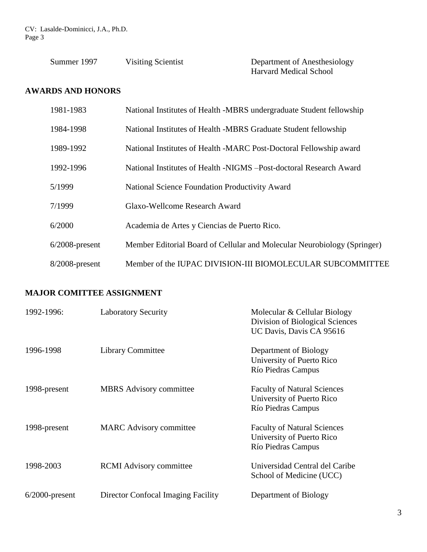| Summer 1997 | <b>Visiting Scientist</b> | Department of Anesthesiology  |
|-------------|---------------------------|-------------------------------|
|             |                           | <b>Harvard Medical School</b> |

### **AWARDS AND HONORS**

| 1981-1983         | National Institutes of Health -MBRS undergraduate Student fellowship     |
|-------------------|--------------------------------------------------------------------------|
| 1984-1998         | National Institutes of Health -MBRS Graduate Student fellowship          |
| 1989-1992         | National Institutes of Health -MARC Post-Doctoral Fellowship award       |
| 1992-1996         | National Institutes of Health -NIGMS -Post-doctoral Research Award       |
| 5/1999            | National Science Foundation Productivity Award                           |
| 7/1999            | Glaxo-Wellcome Research Award                                            |
| 6/2000            | Academia de Artes y Ciencias de Puerto Rico.                             |
| $6/2008$ -present | Member Editorial Board of Cellular and Molecular Neurobiology (Springer) |
| $8/2008$ -present | Member of the IUPAC DIVISION-III BIOMOLECULAR SUBCOMMITTEE               |

# **MAJOR COMITTEE ASSIGNMENT**

| 1992-1996:        | <b>Laboratory Security</b>         | Molecular & Cellular Biology<br>Division of Biological Sciences<br>UC Davis, Davis CA 95616 |
|-------------------|------------------------------------|---------------------------------------------------------------------------------------------|
| 1996-1998         | <b>Library Committee</b>           | Department of Biology<br>University of Puerto Rico<br>Río Piedras Campus                    |
| 1998-present      | <b>MBRS</b> Advisory committee     | <b>Faculty of Natural Sciences</b><br>University of Puerto Rico<br>Río Piedras Campus       |
| 1998-present      | <b>MARC</b> Advisory committee     | <b>Faculty of Natural Sciences</b><br>University of Puerto Rico<br>Río Piedras Campus       |
| 1998-2003         | <b>RCMI</b> Advisory committee     | Universidad Central del Caribe<br>School of Medicine (UCC)                                  |
| $6/2000$ -present | Director Confocal Imaging Facility | Department of Biology                                                                       |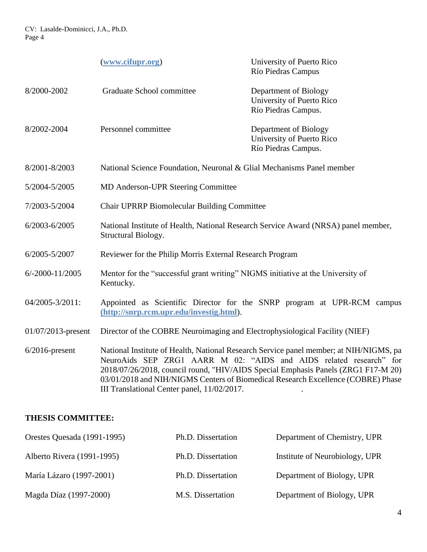|                     | (www.cifupr.org)                                                                                                                                                                                                                                                                                                                                                                     | University of Puerto Rico<br>Río Piedras Campus                           |  |
|---------------------|--------------------------------------------------------------------------------------------------------------------------------------------------------------------------------------------------------------------------------------------------------------------------------------------------------------------------------------------------------------------------------------|---------------------------------------------------------------------------|--|
| 8/2000-2002         | Graduate School committee                                                                                                                                                                                                                                                                                                                                                            | Department of Biology<br>University of Puerto Rico<br>Río Piedras Campus. |  |
| 8/2002-2004         | Personnel committee                                                                                                                                                                                                                                                                                                                                                                  | Department of Biology<br>University of Puerto Rico<br>Río Piedras Campus. |  |
| 8/2001-8/2003       | National Science Foundation, Neuronal & Glial Mechanisms Panel member                                                                                                                                                                                                                                                                                                                |                                                                           |  |
| 5/2004-5/2005       | <b>MD Anderson-UPR Steering Committee</b>                                                                                                                                                                                                                                                                                                                                            |                                                                           |  |
| 7/2003-5/2004       | Chair UPRRP Biomolecular Building Committee                                                                                                                                                                                                                                                                                                                                          |                                                                           |  |
| $6/2003 - 6/2005$   | National Institute of Health, National Research Service Award (NRSA) panel member,<br>Structural Biology.                                                                                                                                                                                                                                                                            |                                                                           |  |
| 6/2005-5/2007       | Reviewer for the Philip Morris External Research Program                                                                                                                                                                                                                                                                                                                             |                                                                           |  |
| $6/-2000 - 11/2005$ | Mentor for the "successful grant writing" NIGMS initiative at the University of<br>Kentucky.                                                                                                                                                                                                                                                                                         |                                                                           |  |
| 04/2005-3/2011:     | Appointed as Scientific Director for the SNRP program at UPR-RCM campus<br>(http://snrp.rcm.upr.edu/investig.html).                                                                                                                                                                                                                                                                  |                                                                           |  |
| 01/07/2013-present  | Director of the COBRE Neuroimaging and Electrophysiological Facility (NIEF)                                                                                                                                                                                                                                                                                                          |                                                                           |  |
| $6/2016$ -present   | National Institute of Health, National Research Service panel member; at NIH/NIGMS, pa<br>NeuroAids SEP ZRG1 AARR M 02: "AIDS and AIDS related research" for<br>2018/07/26/2018, council round, "HIV/AIDS Special Emphasis Panels (ZRG1 F17-M 20)<br>03/01/2018 and NIH/NIGMS Centers of Biomedical Research Excellence (COBRE) Phase<br>III Translational Center panel, 11/02/2017. |                                                                           |  |

## **THESIS COMMITTEE:**

| Orestes Quesada (1991-1995) | Ph.D. Dissertation | Department of Chemistry, UPR   |
|-----------------------------|--------------------|--------------------------------|
| Alberto Rivera (1991-1995)  | Ph.D. Dissertation | Institute of Neurobiology, UPR |
| María Lázaro (1997-2001)    | Ph.D. Dissertation | Department of Biology, UPR     |
| Magda Díaz (1997-2000)      | M.S. Dissertation  | Department of Biology, UPR     |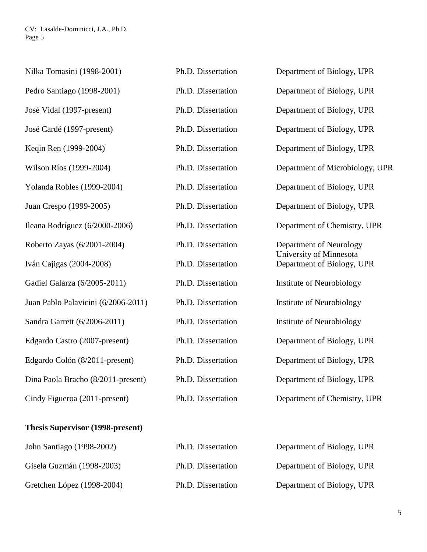| Nilka Tomasini (1998-2001)          | Ph.D. Dissertation | Department of Biology, UPR                         |
|-------------------------------------|--------------------|----------------------------------------------------|
| Pedro Santiago (1998-2001)          | Ph.D. Dissertation | Department of Biology, UPR                         |
| José Vidal (1997-present)           | Ph.D. Dissertation | Department of Biology, UPR                         |
| José Cardé (1997-present)           | Ph.D. Dissertation | Department of Biology, UPR                         |
| Keqin Ren (1999-2004)               | Ph.D. Dissertation | Department of Biology, UPR                         |
| Wilson Ríos (1999-2004)             | Ph.D. Dissertation | Department of Microbiology, UPR                    |
| Yolanda Robles (1999-2004)          | Ph.D. Dissertation | Department of Biology, UPR                         |
| Juan Crespo (1999-2005)             | Ph.D. Dissertation | Department of Biology, UPR                         |
| Ileana Rodríguez (6/2000-2006)      | Ph.D. Dissertation | Department of Chemistry, UPR                       |
| Roberto Zayas (6/2001-2004)         | Ph.D. Dissertation | Department of Neurology<br>University of Minnesota |
| Iván Cajigas (2004-2008)            | Ph.D. Dissertation | Department of Biology, UPR                         |
| Gadiel Galarza (6/2005-2011)        | Ph.D. Dissertation | <b>Institute of Neurobiology</b>                   |
| Juan Pablo Palavicini (6/2006-2011) | Ph.D. Dissertation | Institute of Neurobiology                          |
| Sandra Garrett (6/2006-2011)        | Ph.D. Dissertation | <b>Institute of Neurobiology</b>                   |
| Edgardo Castro (2007-present)       | Ph.D. Dissertation | Department of Biology, UPR                         |
| Edgardo Colón (8/2011-present)      | Ph.D. Dissertation | Department of Biology, UPR                         |
| Dina Paola Bracho (8/2011-present)  | Ph.D. Dissertation | Department of Biology, UPR                         |
| Cindy Figueroa (2011-present)       | Ph.D. Dissertation | Department of Chemistry, UPR                       |

# **Thesis Supervisor (1998-present)**

| John Santiago (1998-2002)  | Ph.D. Dissertation | Department of Biology, UPR |
|----------------------------|--------------------|----------------------------|
| Gisela Guzmán (1998-2003)  | Ph.D. Dissertation | Department of Biology, UPR |
| Gretchen López (1998-2004) | Ph.D. Dissertation | Department of Biology, UPR |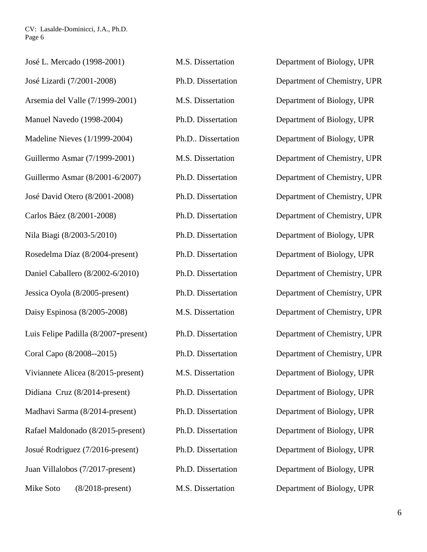| José L. Mercado (1998-2001)          | M.S. Dissertation  | Department of Biology, UPR  |
|--------------------------------------|--------------------|-----------------------------|
| José Lizardi (7/2001-2008)           | Ph.D. Dissertation | Department of Chemistry, UP |
| Arsemia del Valle (7/1999-2001)      | M.S. Dissertation  | Department of Biology, UPR  |
| Manuel Navedo (1998-2004)            | Ph.D. Dissertation | Department of Biology, UPR  |
| Madeline Nieves (1/1999-2004)        | Ph.D Dissertation  | Department of Biology, UPR  |
| Guillermo Asmar (7/1999-2001)        | M.S. Dissertation  | Department of Chemistry, UP |
| Guillermo Asmar (8/2001-6/2007)      | Ph.D. Dissertation | Department of Chemistry, UP |
| José David Otero (8/2001-2008)       | Ph.D. Dissertation | Department of Chemistry, UP |
| Carlos Báez (8/2001-2008)            | Ph.D. Dissertation | Department of Chemistry, UP |
| Nila Biagi (8/2003-5/2010)           | Ph.D. Dissertation | Department of Biology, UPR  |
| Rosedelma Díaz (8/2004-present)      | Ph.D. Dissertation | Department of Biology, UPR  |
| Daniel Caballero (8/2002-6/2010)     | Ph.D. Dissertation | Department of Chemistry, UP |
| Jessica Oyola (8/2005-present)       | Ph.D. Dissertation | Department of Chemistry, UP |
| Daisy Espinosa (8/2005-2008)         | M.S. Dissertation  | Department of Chemistry, UP |
| Luis Felipe Padilla (8/2007-present) | Ph.D. Dissertation | Department of Chemistry, UP |
| Coral Capo (8/2008--2015)            | Ph.D. Dissertation | Department of Chemistry, UP |
| Viviannete Alicea (8/2015-present)   | M.S. Dissertation  | Department of Biology, UPR  |
| Didiana Cruz (8/2014-present)        | Ph.D. Dissertation | Department of Biology, UPR  |
| Madhavi Sarma (8/2014-present)       | Ph.D. Dissertation | Department of Biology, UPR  |
| Rafael Maldonado (8/2015-present)    | Ph.D. Dissertation | Department of Biology, UPR  |
| Josué Rodriguez (7/2016-present)     | Ph.D. Dissertation | Department of Biology, UPR  |
| Juan Villalobos (7/2017-present)     | Ph.D. Dissertation | Department of Biology, UPR  |
| Mike Soto<br>$(8/2018$ -present)     | M.S. Dissertation  | Department of Biology, UPR  |

Jepartment of Biology, UPR Jepartment of Chemistry, UPR. Department of Biology, UPR Department of Biology, UPR. Department of Biology, UPR Department of Chemistry, UPR Department of Chemistry, UPR Department of Chemistry, UPR Department of Chemistry, UPR Department of Biology, UPR. Department of Biology, UPR Department of Chemistry, UPR Department of Chemistry, UPR Department of Chemistry, UPR Department of Chemistry, UPR Department of Chemistry, UPR. Department of Biology, UPR Department of Biology, UPR Department of Biology, UPR Department of Biology, UPR Jepartment of Biology, UPR Jepartment of Biology, UPR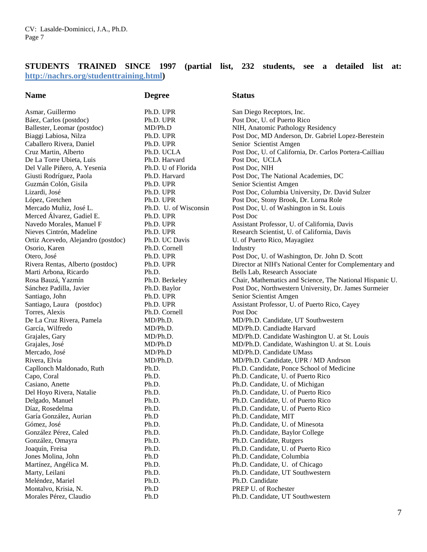#### **STUDENTS TRAINED SINCE 1997 (partial list, 232 students, see a detailed list at: http://nachrs.org/studenttraining.html)**

| <b>Name</b>                        | <b>Degree</b>         | <b>Status</b>                        |
|------------------------------------|-----------------------|--------------------------------------|
| Asmar, Guillermo                   | Ph.D. UPR             | San Diego Receptors, Inc.            |
| Báez, Carlos (postdoc)             | Ph.D. UPR             | Post Doc, U. of Puerto Rico          |
| Ballester, Leomar (postdoc)        | MD/Ph.D               | NIH, Anatomic Pathology Residenc     |
| Biaggi Labiosa, Nilza              | Ph.D. UPR             | Post Doc, MD Anderson, Dr. Gabri     |
| Caballero Rivera, Daniel           | Ph.D. UPR             | Senior Scientist Amgen               |
| Cruz Martin, Alberto               | Ph.D. UCLA            | Post Doc, U. of California, Dr. Carl |
| De La Torre Ubieta, Luis           | Ph.D. Harvard         | Post Doc, UCLA                       |
| Del Valle Piñero, A. Yesenia       | Ph.D. U of Florida    | Post Doc, NIH                        |
| Giusti Rodríguez, Paola            | Ph.D. Harvard         | Post Doc, The National Academies.    |
| Guzmán Colón, Gisila               | Ph.D. UPR             | Senior Scientist Amgen               |
| Lizardi, José                      | Ph.D. UPR             | Post Doc, Columbia University, Dr    |
| López, Gretchen                    | Ph.D. UPR             | Post Doc, Stony Brook, Dr. Lorna I   |
| Mercado Muñiz, José L.             | Ph.D. U. of Wisconsin | Post Doc, U. of Washington in St. I  |
| Merced Álvarez, Gadiel E.          | Ph.D. UPR             | Post Doc                             |
| Navedo Morales, Manuel F           | Ph.D. UPR             | Assistant Professor, U. of Californi |
| Nieves Cintrón, Madeline           | Ph.D. UPR             | Research Scientist, U. of California |
| Ortiz Acevedo, Alejandro (postdoc) | Ph.D. UC Davis        | U. of Puerto Rico, Mayagüez          |
| Osorio, Karen                      | Ph.D. Cornell         | Industry                             |
| Otero, José                        | Ph.D. UPR             | Post Doc, U. of Washington, Dr. Jo   |
| Rivera Rentas, Alberto (postdoc)   | Ph.D. UPR             | Director at NIH's National Center f  |
| Marti Arbona, Ricardo              | Ph.D.                 | Bells Lab, Research Associate        |
| Rosa Bauzá, Yazmín                 | Ph.D. Berkeley        | Chair, Mathematics and Science, Tl   |
| Sánchez Padilla, Javier            | Ph.D. Baylor          | Post Doc, Northwestern University,   |
| Santiago, John                     | Ph.D. UPR             | Senior Scientist Amgen               |
| Santiago, Laura (postdoc)          | Ph.D. UPR             | Assistant Professor, U. of Puerto Ri |
| Torres, Alexis                     | Ph.D. Cornell         | Post Doc                             |
| De La Cruz Rivera, Pamela          | MD/Ph.D.              | MD/Ph.D. Candidate, UT Southwes      |
| García, Wilfredo                   | MD/Ph.D.              | MD/Ph.D. Candiadte Harvard           |
| Grajales, Gary                     | MD/Ph.D.              | MD/Ph.D. Candidate Washington I      |
| Grajales, José                     | MD/Ph.D               | MD/Ph.D. Candidate, Washington       |
| Mercado, José                      | MD/Ph.D               | MD/Ph.D. Candidate UMass             |
| Rivera, Elvia                      | MD/Ph.D.              | MD/Ph.D. Candidate, UPR / MD A       |
| Capllonch Maldonado, Ruth          | Ph.D.                 | Ph.D. Candidate, Ponce School of N   |
| Capo, Coral                        | Ph.D.                 | Ph.D. Candicate, U. of Puerto Rico   |
| Casiano, Anette                    | Ph.D.                 | Ph.D. Candidate, U. of Michigan      |
| Del Hoyo Rivera, Natalie           | Ph.D.                 | Ph.D. Candidate, U. of Puerto Rico   |
| Delgado, Manuel                    | Ph.D.                 | Ph.D. Candidate, U. of Puerto Rico   |
| Díaz, Rosedelma                    | Ph.D.                 | Ph.D. Candidate, U. of Puerto Rico   |
| Garía González, Aurian             | Ph.D                  | Ph.D. Candidate, MIT                 |
| Gómez, José                        | Ph.D.                 | Ph.D. Candidate, U. of Minesota      |
| González Pérez, Caled              | Ph.D.                 | Ph.D. Candidate, Baylor College      |
| González, Omayra                   | Ph.D.                 | Ph.D. Candidate, Rutgers             |
| Joaquín, Freisa                    | Ph.D.                 | Ph.D. Candidate, U. of Puerto Rico   |
| Jones Molina, John                 | Ph.D                  | Ph.D. Candidate, Columbia            |
| Martínez, Angélica M.              | Ph.D.                 | Ph.D. Candidate, U. of Chicago       |
| Marty, Leilani                     | Ph.D.                 | Ph.D. Candidate, UT Southwestern     |
| Meléndez, Mariel                   | Ph.D.                 | Ph.D. Candidate                      |
| Montalvo, Krisia, N.               | Ph.D                  | PREP U. of Rochester                 |
| Morales Pérez, Claudio             | Ph.D                  | Ph.D. Candidate, UT Southwestern     |

# Ph.D. Harvard Post Doc, UCLA Ph.D. U of Florida Post Doc, NIH<br>Ph.D. Harvard Post Doc, The Ph.D. UPR Post Doc Ph.D. Cornell Industry Ph.D. Cornell Post Doc

Ph.D. UPR San Diego Receptors, Inc. Ph.D. UPR Post Doc. U. of Puerto Rico MD/Ph.D NIH, Anatomic Pathology Residency Ph.D. UPR Post Doc, MD Anderson, Dr. Gabriel Lopez-Berestein Ph.D. UPR Senior Scientist Amgen Ph.D. UCLA Post Doc, U. of California, Dr. Carlos Portera-Cailliau Post Doc, The National Academies, DC Ph.D. UPR Senior Scientist Amgen Ph.D. UPR Post Doc, Columbia University, Dr. David Sulzer Ph.D. UPR Post Doc, Stony Brook, Dr. Lorna Role Ph.D. U. of Wisconsin Post Doc, U. of Washington in St. Louis Ph.D. UPR Assistant Professor, U. of California, Davis Ph.D. UPR Research Scientist, U. of California, Davis Ph.D. UC Davis U. of Puerto Rico, Mayagüez Ph.D. UPR Post Doc, U. of Washington, Dr. John D. Scott Ph.D. UPR Director at NIH's National Center for Complementary and Ph.D. Bells Lab, Research Associate Ph.D. Berkeley Chair, Mathematics and Science, The National Hispanic U. Ph.D. Baylor Post Doc, Northwestern University, Dr. James Surmeier Ph.D. UPR Senior Scientist Amgen Ph.D. UPR Assistant Professor, U. of Puerto Rico, Cayey MD/Ph.D. MD/Ph.D. Candidate, UT Southwestern MD/Ph.D. MD/Ph.D. Candiadte Harvard MD/Ph.D. MD/Ph.D. Candidate Washington U. at St. Louis MD/Ph.D MD/Ph.D. Candidate, Washington U. at St. Louis MD/Ph.D MD/Ph.D. Candidate UMass MD/Ph.D. Candidate, UPR / MD Andrson Ph.D. Candidate, Ponce School of Medicine Ph.D. Candicate, U. of Puerto Rico Ph.D. Ph.D. Candidate, U. of Michigan Ph.D. Candidate, U. of Puerto Rico Ph.D. Candidate, U. of Puerto Rico Ph.D. Candidate, U. of Puerto Rico Ph.D Ph.D. Candidate, MIT Ph.D. Candidate, U. of Minesota Ph.D. Candidate, Baylor College Ph.D. Candidate, Rutgers Ph.D. Candidate, U. of Puerto Rico Ph.D Ph.D Candidate, Columbia Ph.D. Ph.D. Candidate, U. of Chicago Ph.D. Candidate, UT Southwestern Ph.D. Ph.D. Candidate Ph.D PREP U. of Rochester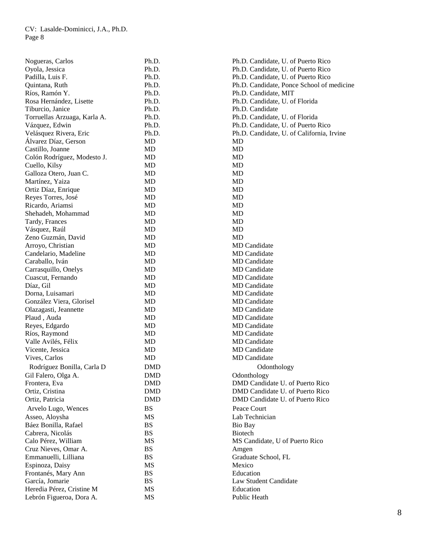| Nogueras, Carlos             | Ph.D.      | Ph.D. Candidate, U. of Puerto Rico        |
|------------------------------|------------|-------------------------------------------|
| Oyola, Jessica               | Ph.D.      | Ph.D. Candidate, U. of Puerto Rico        |
| Padilla, Luis F.             | Ph.D.      | Ph.D. Candidate, U. of Puerto Rico        |
| Quintana, Ruth               | Ph.D.      | Ph.D. Candidate, Ponce School of medicine |
| Ríos, Ramón Y.               | Ph.D.      | Ph.D. Candidate, MIT                      |
| Rosa Hernández, Lisette      | Ph.D.      | Ph.D. Candidate, U. of Florida            |
| Tiburcio, Janice             | Ph.D.      | Ph.D. Candidate                           |
| Torruellas Arzuaga, Karla A. | Ph.D.      | Ph.D. Candidate, U. of Florida            |
| Vázquez, Edwin               | Ph.D.      | Ph.D. Candidate, U. of Puerto Rico        |
| Velásquez Rivera, Eric       | Ph.D.      | Ph.D. Candidate, U. of California, Irvine |
| Álvarez Díaz, Gerson         | MD         | MD                                        |
| Castillo, Joanne             | MD         | MD                                        |
| Colón Rodríguez, Modesto J.  | MD         | MD                                        |
| Cuello, Kilsy                | MD         | MD                                        |
| Galloza Otero, Juan C.       | MD         | MD                                        |
| Martínez, Yaiza              | MD         | MD                                        |
| Ortiz Díaz, Enrique          | MD         | <b>MD</b>                                 |
| Reyes Torres, José           | MD         | MD                                        |
| Ricardo, Ariamsi             | MD         | MD                                        |
| Shehadeh, Mohammad           | MD         | MD                                        |
| Tardy, Frances               | <b>MD</b>  | MD                                        |
| Vásquez, Raúl                | <b>MD</b>  | MD                                        |
| Zeno Guzmán, David           | <b>MD</b>  | <b>MD</b>                                 |
| Arroyo, Christian            | MD         | <b>MD</b> Candidate                       |
| Candelario, Madeline         | MD         | <b>MD</b> Candidate                       |
| Caraballo, Iván              | MD         | <b>MD</b> Candidate                       |
| Carrasquillo, Onelys         | MD         | <b>MD</b> Candidate                       |
| Cuascut, Fernando            | MD         | <b>MD</b> Candidate                       |
| Díaz, Gil                    | MD         | <b>MD</b> Candidate                       |
| Dorna, Luisamari             | MD         | <b>MD</b> Candidate                       |
| González Viera, Glorisel     | MD         | <b>MD</b> Candidate                       |
| Olazagasti, Jeannette        | MD         | MD Candidate                              |
| Plaud, Auda                  | MD         | MD Candidate                              |
| Reyes, Edgardo               | MD         | <b>MD</b> Candidate                       |
| Ríos, Raymond                | MD         | MD Candidate                              |
| Valle Avilés, Félix          | MD         | <b>MD</b> Candidate                       |
| Vicente, Jessica             | MD         | <b>MD</b> Candidate                       |
| Vives, Carlos                | MD         | MD Candidate                              |
|                              | <b>DMD</b> |                                           |
| Rodríguez Bonilla, Carla D   |            | Odonthology                               |
| Gil Falero, Olga A.          | <b>DMD</b> | Odonthology                               |
| Frontera, Eva                | <b>DMD</b> | DMD Candidate U. of Puerto Rico           |
| Ortiz, Cristina              | <b>DMD</b> | DMD Candidate U. of Puerto Rico           |
| Ortiz, Patricia              | DMD        | DMD Candidate U. of Puerto Rico           |
| Arvelo Lugo, Wences          | <b>BS</b>  | Peace Court                               |
| Asseo, Aloysha               | MS         | Lab Technician                            |
| Báez Bonilla, Rafael         | <b>BS</b>  | Bio Bay                                   |
| Cabrera, Nicolás             | <b>BS</b>  | <b>Biotech</b>                            |
| Calo Pérez, William          | MS         | MS Candidate, U of Puerto Rico            |
| Cruz Nieves, Omar A.         | <b>BS</b>  | Amgen                                     |
| Emmanuelli, Lilliana         | <b>BS</b>  | Graduate School, FL                       |
| Espinoza, Daisy              | MS         | Mexico                                    |
| Frontanés, Mary Ann          | <b>BS</b>  | Education                                 |
| García, Jomarie              | <b>BS</b>  | Law Student Candidate                     |
| Heredia Pérez, Cristine M    | MS         | Education                                 |
| Lebrón Figueroa, Dora A.     | MS         | Public Heath                              |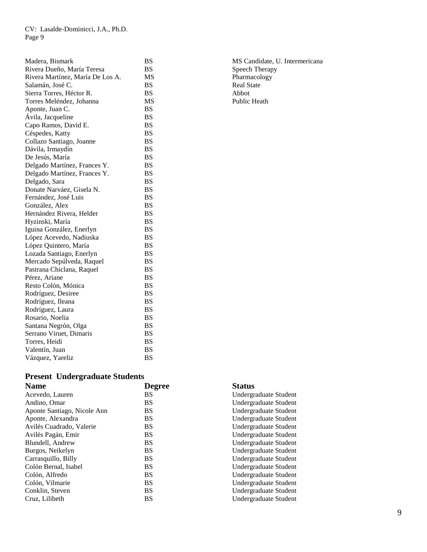| Madera, Bismark                  | <b>BS</b> | MS Ca  |
|----------------------------------|-----------|--------|
| Rivera Dueño, María Teresa       | <b>BS</b> | Speecl |
| Rivera Martínez, María De Los A. | MS        | Pharm  |
| Salamán, José C.                 | <b>BS</b> | Real S |
| Sierra Torres, Héctor R.         | <b>BS</b> | Abbot  |
| Torres Meléndez, Johanna         | MS        | Public |
| Aponte, Juan C.                  | <b>BS</b> |        |
| Avila, Jacqueline                | <b>BS</b> |        |
| Capo Ramos, David E.             | <b>BS</b> |        |
| Céspedes, Katty                  | <b>BS</b> |        |
| Collazo Santiago, Joanne         | <b>BS</b> |        |
| Dávila, Irmaydín                 | <b>BS</b> |        |
| De Jesús, María                  | <b>BS</b> |        |
| Delgado Martínez, Frances Y.     | <b>BS</b> |        |
| Delgado Martínez, Frances Y.     | <b>BS</b> |        |
| Delgado, Sara                    | <b>BS</b> |        |
| Donate Narváez, Gisela N.        | <b>BS</b> |        |
| Fernández, José Luis             | <b>BS</b> |        |
| González, Alex                   | <b>BS</b> |        |
| Hernández Rivera, Helder         | <b>BS</b> |        |
| Hyzinski, María                  | <b>BS</b> |        |
| Iguina González, Enerlyn         | <b>BS</b> |        |
| López Acevedo, Nadiuska          | <b>BS</b> |        |
| López Quintero, María            | <b>BS</b> |        |
| Lozada Santiago, Enerlyn         | <b>BS</b> |        |
| Mercado Sepúlveda, Raquel        | <b>BS</b> |        |
| Pastrana Chiclana, Raquel        | <b>BS</b> |        |
| Pérez, Ariane                    | <b>BS</b> |        |
| Resto Colón, Mónica              | <b>BS</b> |        |
| Rodríguez, Desiree               | <b>BS</b> |        |
| Rodríguez, Ileana                | <b>BS</b> |        |
| Rodríguez, Laura                 | <b>BS</b> |        |
| Rosario, Noelia                  | <b>BS</b> |        |
| Santana Negrón, Olga             | <b>BS</b> |        |
| Serrano Viruet, Dimaris          | <b>BS</b> |        |
| Torres, Heidi                    | <b>BS</b> |        |
| Valentín, Juan                   | <b>BS</b> |        |
| Vázquez, Yareliz                 | <b>BS</b> |        |

**Present Undergraduate Students**

| <b>Name</b>                 | <b>Degree</b> | <b>Status</b>         |
|-----------------------------|---------------|-----------------------|
| Acevedo, Lauren             | <b>BS</b>     | Undergraduate Student |
| Andino, Omar                | <b>BS</b>     | Undergraduate Student |
| Aponte Santiago, Nicole Ann | <b>BS</b>     | Undergraduate Student |
| Aponte, Alexandra           | <b>BS</b>     | Undergraduate Student |
| Avilés Cuadrado, Valerie    | <b>BS</b>     | Undergraduate Student |
| Avilés Pagán, Emir          | <b>BS</b>     | Undergraduate Student |
| Blundell, Andrew            | <b>BS</b>     | Undergraduate Student |
| Burgos, Neikelyn            | <b>BS</b>     | Undergraduate Student |
| Carrasquillo, Billy         | <b>BS</b>     | Undergraduate Student |
| Colón Bernal, Isabel        | <b>BS</b>     | Undergraduate Student |
| Colón, Alfredo              | <b>BS</b>     | Undergraduate Student |
| Colón, Vilmarie             | <b>BS</b>     | Undergraduate Student |
| Conklin, Steven             | <b>BS</b>     | Undergraduate Student |
| Cruz, Lilibeth              | <b>BS</b>     | Undergraduate Student |

S<br>S<br>Speech Therapy<br>Speech Therapy S<br>
Rivera Dueño, S<br>
Real State<br>
Real State Pharmacology S<br>Salamán, José C. Balandez, Papa C. Balandez, Papa C. Balandez, Papa C. Balandez, Papa C. Balandez, Papa C. B<br>Salamán, José C. Balandez, Papa C. Balandez, Papa C. Balandez, Papa C. Balandez, Papa C. Balandez, Papa C. Ba The Meléndez Meléndez, Johanna Meléndez, Johanna Meléndez, Johanna Meléndez, Johanna Meléndez, Johanna Meléndez, Johanna Meléndez, Johanna Meléndez, Johanna Meléndez, Johanna Meléndez, Johanna Meléndez, Johanna Meléndez, J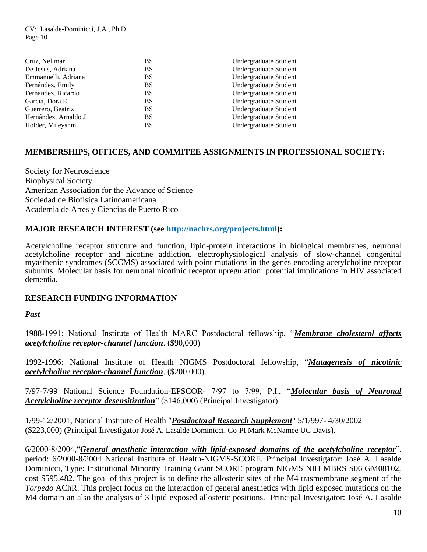| <b>BS</b> | Undergraduate Student |
|-----------|-----------------------|
| BS        | Undergraduate Student |
| <b>BS</b> | Undergraduate Student |
| <b>BS</b> | Undergraduate Student |
| <b>BS</b> | Undergraduate Student |
| <b>BS</b> | Undergraduate Student |
| <b>BS</b> | Undergraduate Student |
| <b>BS</b> | Undergraduate Student |
| <b>BS</b> | Undergraduate Student |
|           |                       |

#### **MEMBERSHIPS, OFFICES, AND COMMITEE ASSIGNMENTS IN PROFESSIONAL SOCIETY:**

Society for Neuroscience Biophysical Society American Association for the Advance of Science Sociedad de Biofísica Latinoamericana Academia de Artes y Ciencias de Puerto Rico

#### **MAJOR RESEARCH INTEREST (see http://nachrs.org/projects.html):**

Acetylcholine receptor structure and function, lipid-protein interactions in biological membranes, neuronal acetylcholine receptor and nicotine addiction, electrophysiological analysis of slow-channel congenital myasthenic syndromes (SCCMS) associated with point mutations in the genes encoding acetylcholine receptor subunits. Molecular basis for neuronal nicotinic receptor upregulation: potential implications in HIV associated dementia.

#### **RESEARCH FUNDING INFORMATION**

#### *Past*

1988-1991: National Institute of Health MARC Postdoctoral fellowship, "*Membrane cholesterol affects acetylcholine receptor-channel function*. (\$90,000)

1992-1996: National Institute of Health NIGMS Postdoctoral fellowship, "*Mutagenesis of nicotinic acetylcholine receptor-channel function*. (\$200,000).

7/97-7/99 National Science Foundation-EPSCOR- 7/97 to 7/99, P.I., "*Molecular basis of Neuronal Acetylcholine receptor desensitization*" (\$146,000) (Principal Investigator).

1/99-12/2001, National Institute of Health *Postdoctoral Research Supplement*" 5/1/997- 4/30/2002 (\$223,000) (Principal Investigator José A. Lasalde Dominicci, Co-PI Mark McNamee UC Davis).

6/2000-8/2004,"*General anesthetic interaction with lipid-exposed domains of the acetylcholine receptor*". period: 6/2000-8/2004 National Institute of Health-NIGMS-SCORE. Principal Investigator: José A. Lasalde Dominicci, Type: Institutional Minority Training Grant SCORE program NIGMS NIH MBRS S06 GM08102, cost \$595,482. The goal of this project is to define the allosteric sites of the M4 trasmembrane segment of the *Torpedo* AChR. This project focus on the interaction of general anesthetics with lipid exposed mutations on the M4 domain an also the analysis of 3 lipid exposed allosteric positions. Principal Investigator: José A. Lasalde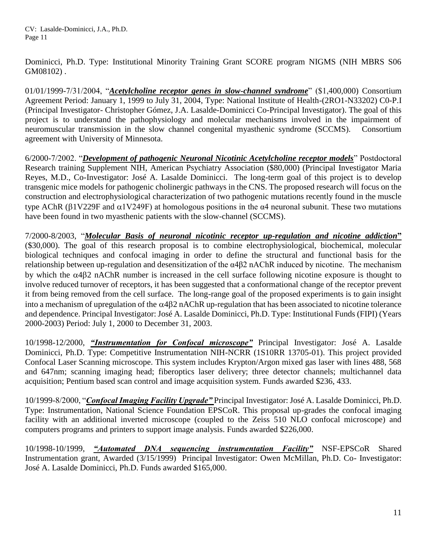Dominicci, Ph.D. Type: Institutional Minority Training Grant SCORE program NIGMS (NIH MBRS S06 GM08102) .

01/01/1999-7/31/2004, "*Acetylcholine receptor genes in slow-channel syndrome*" (\$1,400,000) Consortium Agreement Period: January 1, 1999 to July 31, 2004, Type: National Institute of Health-(2RO1-N33202) C0-P.I (Principal Investigator- Christopher Gómez, J.A. Lasalde-Dominicci Co-Principal Investigator). The goal of this project is to understand the pathophysiology and molecular mechanisms involved in the impairment of neuromuscular transmission in the slow channel congenital myasthenic syndrome (SCCMS). Consortium agreement with University of Minnesota.

6/2000-7/2002. "*Development of pathogenic Neuronal Nicotinic Acetylcholine receptor models*" Postdoctoral Research training Supplement NIH, American Psychiatry Association (\$80,000) (Principal Investigator Maria Reyes, M.D., Co-Investigator: José A. Lasalde Dominicci. The long-term goal of this project is to develop transgenic mice models for pathogenic cholinergic pathways in the CNS. The proposed research will focus on the construction and electrophysiological characterization of two pathogenic mutations recently found in the muscle type AChR ( $\beta$ 1V229F and  $\alpha$ 1V249F) at homologous positions in the  $\alpha$ 4 neuronal subunit. These two mutations have been found in two myasthenic patients with the slow-channel (SCCMS).

7/2000-8/2003, "*Molecular Basis of neuronal nicotinic receptor up-regulation and nicotine addiction***"**  (\$30,000). The goal of this research proposal is to combine electrophysiological, biochemical, molecular biological techniques and confocal imaging in order to define the structural and functional basis for the relationship between up-regulation and desensitization of the α4β2 nAChR induced by nicotine. The mechanism by which the  $\alpha$ 4 $\beta$ 2 nAChR number is increased in the cell surface following nicotine exposure is thought to involve reduced turnover of receptors, it has been suggested that a conformational change of the receptor prevent it from being removed from the cell surface. The long-range goal of the proposed experiments is to gain insight into a mechanism of upregulation of the  $\alpha$ 482 nAChR up-regulation that has been associated to nicotine tolerance and dependence. Principal Investigator: José A. Lasalde Dominicci, Ph.D. Type: Institutional Funds (FIPI) (Years 2000-2003) Period: July 1, 2000 to December 31, 2003.

10/1998-12/2000, *"Instrumentation for Confocal microscope"* Principal Investigator: José A. Lasalde Dominicci, Ph.D. Type: Competitive Instrumentation NIH-NCRR (1S10RR 13705-01). This project provided Confocal Laser Scanning microscope. This system includes Krypton/Argon mixed gas laser with lines 488, 568 and 647nm; scanning imaging head; fiberoptics laser delivery; three detector channels; multichannel data acquisition; Pentium based scan control and image acquisition system. Funds awarded \$236, 433.

10/1999-8/2000, "*Confocal Imaging Facility Upgrade"* Principal Investigator: José A. Lasalde Dominicci, Ph.D. Type: Instrumentation, National Science Foundation EPSCoR. This proposal up-grades the confocal imaging facility with an additional inverted microscope (coupled to the Zeiss 510 NLO confocal microscope) and computers programs and printers to support image analysis. Funds awarded \$226,000.

10/1998-10/1999, *"Automated DNA sequencing instrumentation Facility"* NSF-EPSCoR Shared Instrumentation grant, Awarded (3/15/1999) Principal Investigator: Owen McMillan, Ph.D. Co- Investigator: José A. Lasalde Dominicci, Ph.D. Funds awarded \$165,000.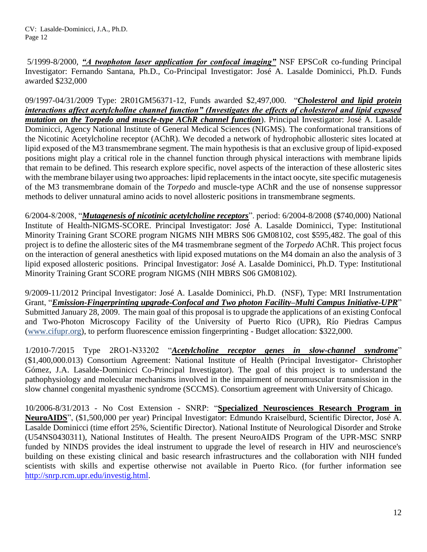5/1999-8/2000, *"A twophoton laser application for confocal imaging"* NSF EPSCoR co-funding Principal Investigator: Fernando Santana, Ph.D., Co-Principal Investigator: José A. Lasalde Dominicci, Ph.D. Funds awarded \$232,000

09/1997-04/31/2009 Type: 2R01GM56371-12, Funds awarded \$2,497,000. "*Cholesterol and lipid protein interactions affect acetylcholine channel function" (Investigates the effects of cholesterol and lipid exposed mutation on the Torpedo and muscle-type AChR channel function*). Principal Investigator: José A. Lasalde Dominicci, Agency National Institute of General Medical Sciences (NIGMS). The conformational transitions of the Nicotinic Acetylcholine receptor (AChR). We decoded a network of hydrophobic allosteric sites located at lipid exposed of the M3 transmembrane segment. The main hypothesis is that an exclusive group of lipid-exposed positions might play a critical role in the channel function through physical interactions with membrane lipids that remain to be defined. This research explore specific, novel aspects of the interaction of these allosteric sites with the membrane bilayer using two approaches: lipid replacements in the intact oocyte, site specific mutagenesis of the M3 transmembrane domain of the *Torpedo* and muscle-type AChR and the use of nonsense suppressor methods to deliver unnatural amino acids to novel allosteric positions in transmembrane segments.

6/2004-8/2008, "*Mutagenesis of nicotinic acetylcholine receptors*". period: 6/2004-8/2008 (\$740,000) National Institute of Health-NIGMS-SCORE. Principal Investigator: José A. Lasalde Dominicci, Type: Institutional Minority Training Grant SCORE program NIGMS NIH MBRS S06 GM08102, cost \$595,482. The goal of this project is to define the allosteric sites of the M4 trasmembrane segment of the *Torpedo* AChR. This project focus on the interaction of general anesthetics with lipid exposed mutations on the M4 domain an also the analysis of 3 lipid exposed allosteric positions. Principal Investigator: José A. Lasalde Dominicci, Ph.D. Type: Institutional Minority Training Grant SCORE program NIGMS (NIH MBRS S06 GM08102).

9/2009-11/2012 Principal Investigator: José A. Lasalde Dominicci, Ph.D. (NSF), Type: MRI Instrumentation Grant, "*Emission-Fingerprinting upgrade-Confocal and Two photon Facility–Multi Campus Initiative-UPR*" Submitted January 28, 2009. The main goal of this proposal is to upgrade the applications of an existing Confocal and Two-Photon Microscopy Facility of the University of Puerto Rico (UPR), Río Piedras Campus (www.cifupr.org), to perform fluorescence emission fingerprinting - Budget allocation: \$322,000.

1/2010-7/2015 Type 2RO1-N33202 "*Acetylcholine receptor genes in slow-channel syndrome*" (\$1,400,000.013) Consortium Agreement: National Institute of Health (Principal Investigator- Christopher Gómez, J.A. Lasalde-Dominicci Co-Principal Investigator). The goal of this project is to understand the pathophysiology and molecular mechanisms involved in the impairment of neuromuscular transmission in the slow channel congenital myasthenic syndrome (SCCMS). Consortium agreement with University of Chicago.

10/2006-8/31/2013 - No Cost Extension - SNRP: "**Specialized Neurosciences Research Program in NeuroAIDS**", (\$1,500,000 per year) Principal Investigator: Edmundo Kraiselburd, Scientific Director, José A. Lasalde Dominicci (time effort 25%, Scientific Director). National Institute of Neurological Disorder and Stroke (U54NS0430311), National Institutes of Health. The present NeuroAIDS Program of the UPR-MSC SNRP funded by NINDS provides the ideal instrument to upgrade the level of research in HIV and neuroscience's building on these existing clinical and basic research infrastructures and the collaboration with NIH funded scientists with skills and expertise otherwise not available in Puerto Rico. (for further information see [http://snrp.rcm.upr.edu/investig.html.](http://snrp.rcm.upr.edu/investig.html)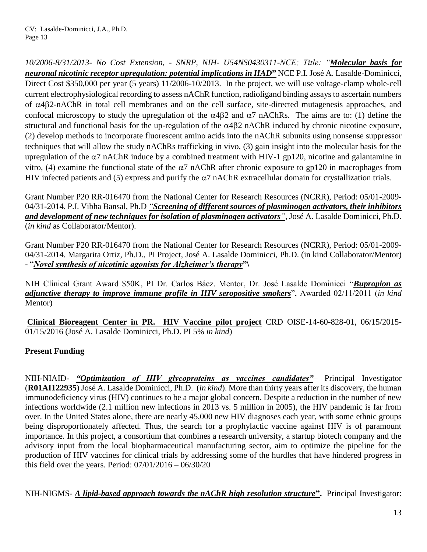*10/2006-8/31/2013- No Cost Extension, - SNRP, NIH- U54NS0430311-NCE; Title: "Molecular basis for neuronal nicotinic receptor upregulation: potential implications in HAD***"** NCE P.I. José A. Lasalde-Dominicci, Direct Cost \$350,000 per year (5 years) 11/2006-10/2013. In the project, we will use voltage-clamp whole-cell current electrophysiological recording to assess nAChR function, radioligand binding assays to ascertain numbers of  $\alpha$ 4 $\beta$ 2-nAChR in total cell membranes and on the cell surface, site-directed mutagenesis approaches, and confocal microscopy to study the upregulation of the  $\alpha$ 4 $\beta$ 2 and  $\alpha$ 7 nAChRs. The aims are to: (1) define the structural and functional basis for the up-regulation of the  $\alpha$ 4 $\beta$ 2 nAChR induced by chronic nicotine exposure, (2) develop methods to incorporate fluorescent amino acids into the nAChR subunits using nonsense suppressor techniques that will allow the study nAChRs trafficking in vivo, (3) gain insight into the molecular basis for the upregulation of the  $\alpha$ 7 nAChR induce by a combined treatment with HIV-1 gp120, nicotine and galantamine in vitro, (4) examine the functional state of the  $\alpha$ 7 nAChR after chronic exposure to gp120 in macrophages from HIV infected patients and (5) express and purify the  $\alpha$ 7 nAChR extracellular domain for crystallization trials.

Grant Number P20 RR-016470 from the National Center for Research Resources (NCRR), Period: 05/01-2009- 04/31-2014. P.I. Vibha Bansal, Ph.D *"Screening of different sources of plasminogen activators, their inhibitors and development of new techniques for isolation of plasminogen activators"*, José A. Lasalde Dominicci, Ph.D. (*in kind* as Collaborator/Mentor).

Grant Number P20 RR-016470 from the National Center for Research Resources (NCRR), Period: 05/01-2009- 04/31-2014. Margarita Ortiz, Ph.D., PI Project, José A. Lasalde Dominicci, Ph.D. (in kind Collaborator/Mentor) - "*Novel synthesis of nicotinic agonists for Alzheimer's therapy***"\**

NIH Clinical Grant Award \$50K, PI Dr. Carlos Báez. Mentor, Dr. José Lasalde Dominicci "*Bupropion as adjunctive therapy to improve immune profile in HIV seropositive smokers*", Awarded 02/11/2011 (*in kind* Mentor)

**Clinical Bioreagent Center in PR. HIV Vaccine pilot project** CRD OISE-14-60-828-01, 06/15/2015- 01/15/2016 (José A. Lasalde Dominicci, Ph.D. PI 5% *in kind*)

### **Present Funding**

NIH-NIAID- *"Optimization of HIV glycoproteins as vaccines candidates"*– Principal Investigator (**R01AI122935**) José A. Lasalde Dominicci, Ph.D. (*in kind*). More than thirty years after its discovery, the human immunodeficiency virus (HIV) continues to be a major global concern. Despite a reduction in the number of new infections worldwide (2.1 million new infections in 2013 vs. 5 million in 2005), the HIV pandemic is far from over. In the United States alone, there are nearly 45,000 new HIV diagnoses each year, with some ethnic groups being disproportionately affected. Thus, the search for a prophylactic vaccine against HIV is of paramount importance. In this project, a consortium that combines a research university, a startup biotech company and the advisory input from the local biopharmaceutical manufacturing sector, aim to optimize the pipeline for the production of HIV vaccines for clinical trials by addressing some of the hurdles that have hindered progress in this field over the years. Period:  $07/01/2016 - 06/30/20$ 

NIH-NIGMS- *A lipid-based approach towards the nAChR high resolution structure***".** Principal Investigator: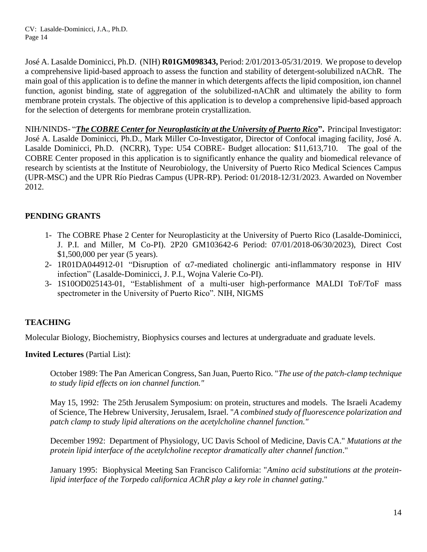José A. Lasalde Dominicci, Ph.D. (NIH) **R01GM098343,** Period: 2/01/2013-05/31/2019. We propose to develop a comprehensive lipid-based approach to assess the function and stability of detergent-solubilized nAChR. The main goal of this application is to define the manner in which detergents affects the lipid composition, ion channel function, agonist binding, state of aggregation of the solubilized-nAChR and ultimately the ability to form membrane protein crystals. The objective of this application is to develop a comprehensive lipid-based approach for the selection of detergents for membrane protein crystallization.

NIH/NINDS- "*The COBRE Center for Neuroplasticity at the University of Puerto Rico***".** Principal Investigator: José A. Lasalde Dominicci, Ph.D., Mark Miller Co-Investigator, Director of Confocal imaging facility, José A. Lasalde Dominicci, Ph.D. (NCRR), Type: U54 COBRE- Budget allocation: \$11,613,710. The goal of the COBRE Center proposed in this application is to significantly enhance the quality and biomedical relevance of research by scientists at the Institute of Neurobiology, the University of Puerto Rico Medical Sciences Campus (UPR-MSC) and the UPR Río Piedras Campus (UPR-RP). Period: 01/2018-12/31/2023. Awarded on November 2012.

#### **PENDING GRANTS**

- 1- The COBRE Phase 2 Center for Neuroplasticity at the University of Puerto Rico (Lasalde-Dominicci, J. P.I. and Miller, M Co-PI). 2P20 GM103642-6 Period: 07/01/2018-06/30/2023), Direct Cost \$1,500,000 per year (5 years).
- 2- 1R01DA044912-01 "Disruption of  $\alpha$ 7-mediated cholinergic anti-inflammatory response in HIV infection" (Lasalde-Dominicci, J. P.I., Wojna Valerie Co-PI).
- 3- 1S10OD025143-01, "Establishment of a multi-user high-performance MALDI ToF/ToF mass spectrometer in the University of Puerto Rico". NIH, NIGMS

### **TEACHING**

Molecular Biology, Biochemistry, Biophysics courses and lectures at undergraduate and graduate levels.

**Invited Lectures** (Partial List):

October 1989: The Pan American Congress, San Juan, Puerto Rico. "*The use of the patch-clamp technique to study lipid effects on ion channel function."*

May 15, 1992: The 25th Jerusalem Symposium: on protein, structures and models. The Israeli Academy of Science, The Hebrew University, Jerusalem, Israel. "*A combined study of fluorescence polarization and patch clamp to study lipid alterations on the acetylcholine channel function."*

December 1992: Department of Physiology, UC Davis School of Medicine, Davis CA." *Mutations at the protein lipid interface of the acetylcholine receptor dramatically alter channel function*."

January 1995: Biophysical Meeting San Francisco California: "*Amino acid substitutions at the proteinlipid interface of the Torpedo californica AChR play a key role in channel gating*."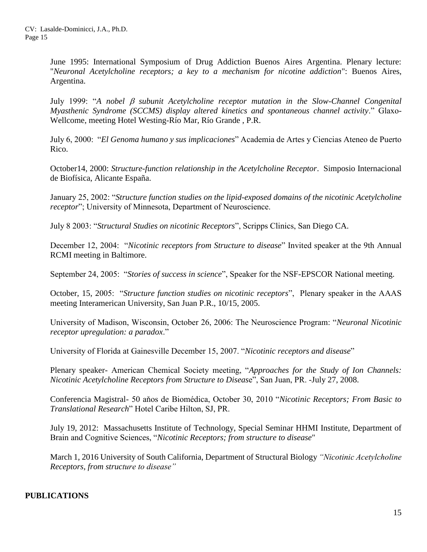June 1995: International Symposium of Drug Addiction Buenos Aires Argentina. Plenary lecture: "*Neuronal Acetylcholine receptors; a key to a mechanism for nicotine addiction*": Buenos Aires, Argentina.

July 1999: "*A nobel subunit Acetylcholine receptor mutation in the Slow-Channel Congenital Myasthenic Syndrome (SCCMS) display altered kinetics and spontaneous channel activity*." Glaxo-Wellcome, meeting Hotel Westing-Río Mar, Río Grande , P.R.

July 6, 2000: "*El Genoma humano y sus implicaciones*" Academia de Artes y Ciencias Ateneo de Puerto Rico.

October14, 2000: *Structure-function relationship in the Acetylcholine Receptor*. Simposio Internacional de Biofísica, Alicante España.

January 25, 2002: "*Structure function studies on the lipid-exposed domains of the nicotinic Acetylcholine receptor*"; University of Minnesota, Department of Neuroscience.

July 8 2003: "*Structural Studies on nicotinic Receptors*", Scripps Clinics, San Diego CA.

December 12, 2004: "*Nicotinic receptors from Structure to disease*" Invited speaker at the 9th Annual RCMI meeting in Baltimore.

September 24, 2005: "*Stories of success in science*", Speaker for the NSF-EPSCOR National meeting.

October, 15, 2005: "*Structure function studies on nicotinic receptors*", Plenary speaker in the AAAS meeting Interamerican University, San Juan P.R., 10/15, 2005.

University of Madison, Wisconsin, October 26, 2006: The Neuroscience Program: "*Neuronal Nicotinic receptor upregulation: a paradox*."

University of Florida at Gainesville December 15, 2007. "*Nicotinic receptors and disease*"

Plenary speaker- American Chemical Society meeting, "*Approaches for the Study of Ion Channels: Nicotinic Acetylcholine Receptors from Structure to Diseas*e", San Juan, PR. -July 27, 2008.

Conferencia Magistral- 50 aňos de Biomédica, October 30, 2010 "*Nicotinic Receptors; From Basic to Translational Research*" Hotel Caribe Hilton, SJ, PR.

July 19, 2012: Massachusetts Institute of Technology, Special Seminar HHMI Institute, Department of Brain and Cognitive Sciences, "*Nicotinic Receptors; from structure to disease*"

March 1, 2016 University of South California, Department of Structural Biology *"Nicotinic Acetylcholine Receptors, from structure to disease"*

#### **PUBLICATIONS**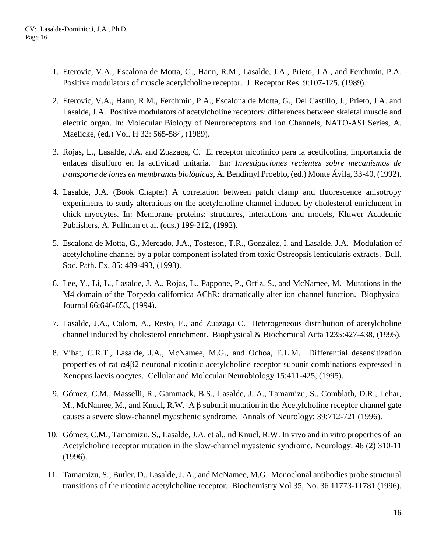- 1. Eterovic, V.A., Escalona de Motta, G., Hann, R.M., Lasalde, J.A., Prieto, J.A., and Ferchmin, P.A. Positive modulators of muscle acetylcholine receptor. J. Receptor Res. 9:107-125, (1989).
- 2. Eterovic, V.A., Hann, R.M., Ferchmin, P.A., Escalona de Motta, G., Del Castillo, J., Prieto, J.A. and Lasalde, J.A. Positive modulators of acetylcholine receptors: differences between skeletal muscle and electric organ. In: Molecular Biology of Neuroreceptors and Ion Channels, NATO-ASI Series, A. Maelicke, (ed.) Vol. H 32: 565-584, (1989).
- 3. Rojas, L., Lasalde, J.A. and Zuazaga, C. El receptor nicotínico para la acetilcolina, importancia de enlaces disulfuro en la actividad unitaria. En: *Investigaciones recientes sobre mecanismos de transporte de iones en membranas biológicas*, A. Bendimyl Proeblo, (ed.) Monte Ávila, 33-40, (1992).
- 4. Lasalde, J.A. (Book Chapter) A correlation between patch clamp and fluorescence anisotropy experiments to study alterations on the acetylcholine channel induced by cholesterol enrichment in chick myocytes. In: Membrane proteins: structures, interactions and models, Kluwer Academic Publishers, A. Pullman et al. (eds.) 199-212, (1992).
- 5. Escalona de Motta, G., Mercado, J.A., Tosteson, T.R., González, I. and Lasalde, J.A. Modulation of acetylcholine channel by a polar component isolated from toxic Ostreopsis lenticularis extracts. Bull. Soc. Path. Ex. 85: 489-493, (1993).
- 6. Lee, Y., Li, L., Lasalde, J. A., Rojas, L., Pappone, P., Ortiz, S., and McNamee, M. Mutations in the M4 domain of the Torpedo californica AChR: dramatically alter ion channel function. Biophysical Journal 66:646-653, (1994).
- 7. Lasalde, J.A., Colom, A., Resto, E., and Zuazaga C. Heterogeneous distribution of acetylcholine channel induced by cholesterol enrichment. Biophysical & Biochemical Acta 1235:427-438, (1995).
- 8. Vibat, C.R.T., Lasalde, J.A., McNamee, M.G., and Ochoa, E.L.M. Differential desensitization properties of rat  $\alpha$ 4 $\beta$ 2 neuronal nicotinic acetylcholine receptor subunit combinations expressed in Xenopus laevis oocytes. Cellular and Molecular Neurobiology 15:411-425, (1995).
- 9. Gómez, C.M., Masselli, R., Gammack, B.S., Lasalde, J. A., Tamamizu, S., Comblath, D.R., Lehar, M., McNamee, M., and Knucl, R.W. A  $\beta$  subunit mutation in the Acetylcholine receptor channel gate causes a severe slow-channel myasthenic syndrome. Annals of Neurology: 39:712-721 (1996).
- 10. Gómez, C.M., Tamamizu, S., Lasalde, J.A. et al., nd Knucl, R.W. In vivo and in vitro properties of an Acetylcholine receptor mutation in the slow-channel myastenic syndrome. Neurology: 46 (2) 310-11 (1996).
- 11. Tamamizu, S., Butler, D., Lasalde, J. A., and McNamee, M.G. Monoclonal antibodies probe structural transitions of the nicotinic acetylcholine receptor. Biochemistry Vol 35, No. 36 11773-11781 (1996).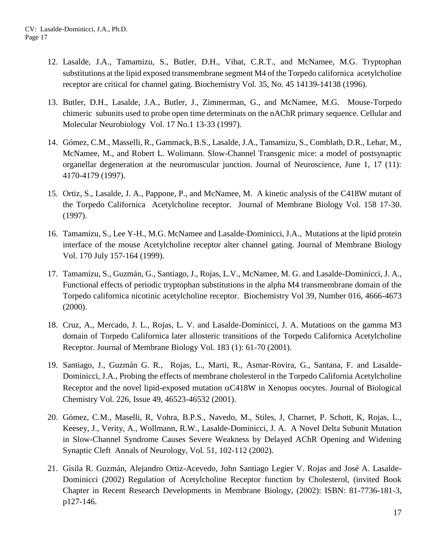- 12. Lasalde, J.A., Tamamizu, S., Butler, D.H., Vibat, C.R.T., and McNamee, M.G. Tryptophan substitutions at the lipid exposed transmembrane segment M4 of the Torpedo californica acetylcholine receptor are critical for channel gating. Biochemistry Vol. 35, No. 45 14139-14138 (1996).
- 13. Butler, D.H., Lasalde, J.A., Butler, J., Zimmerman, G., and McNamee, M.G. Mouse-Torpedo chimeric subunits used to probe open time determinats on the nAChR primary sequence. Cellular and Molecular Neurobiology Vol. 17 No.1 13-33 (1997).
- 14. Gómez, C.M., Masselli, R., Gammack, B.S., Lasalde, J.A., Tamamizu, S., Comblath, D.R., Lehar, M., McNamee, M., and Robert L. Wolimann. Slow-Channel Transgenic mice: a model of postsynaptic organellar degeneration at the neuromuscular junction. Journal of Neuroscience, June 1, 17 (11): 4170-4179 (1997).
- 15. Ortiz, S., Lasalde, J. A., Pappone, P., and McNamee, M. A kinetic analysis of the C418W mutant of the Torpedo Californica Acetylcholine receptor. Journal of Membrane Biology Vol. 158 17-30. (1997).
- 16. Tamamizu, S., Lee Y-H., M.G. McNamee and Lasalde-Dominicci, J.A., Mutations at the lipid protein interface of the mouse Acetylcholine receptor alter channel gating. Journal of Membrane Biology Vol. 170 July 157-164 (1999).
- 17. Tamamizu, S., Guzmán, G., Santiago, J., Rojas, L.V., McNamee, M. G. and Lasalde-Dominicci, J. A., Functional effects of periodic tryptophan substitutions in the alpha M4 transmembrane domain of the Torpedo californica nicotinic acetylcholine receptor. Biochemistry Vol 39, Number 016, 4666-4673 (2000).
- 18. Cruz, A., Mercado, J. L., Rojas, L. V. and Lasalde-Dominicci, J. A. Mutations on the gamma M3 domain of Torpedo Californica later allosteric transitions of the Torpedo Californica Acetylcholine Receptor. Journal of Membrane Biology Vol. 183 (1): 61-70 (2001).
- 19. Santiago, J., Guzmán G. R., Rojas, L., Marti, R., Asmar-Rovira, G., Santana, F. and Lasalde-Dominicci, J.A., Probing the effects of membrane cholesterol in the Torpedo California Acetylcholine Receptor and the novel lipid-exposed mutation  $\alpha$ C418W in Xenopus oocytes. Journal of Biological Chemistry Vol. 226, Issue 49, 46523-46532 (2001).
- 20. Gómez, C.M., Maselli, R, Vohra, B.P.S., Navedo, M., Stiles, J, Charnet, P. Schott, K, Rojas, L., Keesey, J., Verity, A., Wollmann, R.W., Lasalde-Dominicci, J. A. A Novel Delta Subunit Mutation in Slow-Channel Syndrome Causes Severe Weakness by Delayed AChR Opening and Widening Synaptic Cleft Annals of Neurology, Vol. 51, 102-112 (2002).
- 21. Gisila R. Guzmán, Alejandro Ortiz-Acevedo, John Santiago Legier V. Rojas and José A. Lasalde-Dominicci (2002) Regulation of Acetylcholine Receptor function by Cholesterol, (invited Book Chapter in Recent Research Developments in Membrane Biology, (2002): ISBN: 81-7736-181-3, p127-146.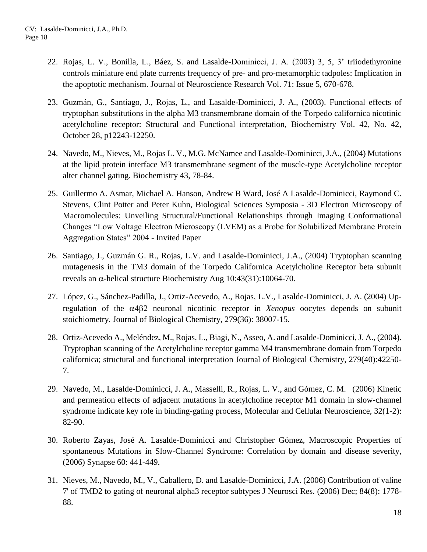- 22. Rojas, L. V., Bonilla, L., Báez, S. and Lasalde-Dominicci, J. A. (2003) 3, 5, 3' triiodethyronine controls miniature end plate currents frequency of pre- and pro-metamorphic tadpoles: Implication in the apoptotic mechanism. Journal of Neuroscience Research Vol. 71: Issue 5, 670-678.
- 23. Guzmán, G., Santiago, J., Rojas, L., and Lasalde-Dominicci, J. A., (2003). Functional effects of tryptophan substitutions in the alpha M3 transmembrane domain of the Torpedo californica nicotinic acetylcholine receptor: Structural and Functional interpretation, Biochemistry Vol. 42, No. 42, October 28, p12243-12250.
- 24. Navedo, M., Nieves, M., Rojas L. V., M.G. McNamee and Lasalde-Dominicci, J.A., (2004) Mutations at the lipid protein interface M3 transmembrane segment of the muscle-type Acetylcholine receptor alter channel gating. Biochemistry 43, 78-84.
- 25. Guillermo A. Asmar, Michael A. Hanson, Andrew B Ward, José A Lasalde-Dominicci, Raymond C. Stevens, Clint Potter and Peter Kuhn, Biological Sciences Symposia - 3D Electron Microscopy of Macromolecules: Unveiling Structural/Functional Relationships through Imaging Conformational Changes "Low Voltage Electron Microscopy (LVEM) as a Probe for Solubilized Membrane Protein Aggregation States" 2004 - Invited Paper
- 26. Santiago, J., Guzmán G. R., Rojas, L.V. and Lasalde-Dominicci, J.A., (2004) Tryptophan scanning mutagenesis in the TM3 domain of the Torpedo Californica Acetylcholine Receptor beta subunit reveals an  $\alpha$ -helical structure Biochemistry Aug 10:43(31):10064-70.
- 27. López, G., Sánchez-Padilla, J., Ortiz-Acevedo, A., Rojas, L.V., Lasalde-Dominicci, J. A. (2004) Upregulation of the  $\alpha$ 4 $\beta$ 2 neuronal nicotinic receptor in *Xenopus* oocytes depends on subunit stoichiometry. Journal of Biological Chemistry, 279(36): 38007-15.
- 28. Ortiz-Acevedo A., Meléndez, M., Rojas, L., Biagi, N., Asseo, A. and Lasalde-Dominicci, J. A., (2004). Tryptophan scanning of the Acetylcholine receptor gamma M4 transmembrane domain from Torpedo californica; structural and functional interpretation Journal of Biological Chemistry, 279(40):42250- 7.
- 29. Navedo, M., Lasalde-Dominicci, J. A., Masselli, R., Rojas, L. V., and Gómez, C. M. (2006) Kinetic and permeation effects of adjacent mutations in acetylcholine receptor M1 domain in slow-channel syndrome indicate key role in binding-gating process, Molecular and Cellular Neuroscience, 32(1-2): 82-90.
- 30. Roberto Zayas, José A. Lasalde-Dominicci and Christopher Gómez, Macroscopic Properties of spontaneous Mutations in Slow-Channel Syndrome: Correlation by domain and disease severity, (2006) Synapse 60: 441-449.
- 31. Nieves, M., Navedo, M., V., Caballero, D. and Lasalde-Dominicci, J.A. (2006) Contribution of valine 7' of TMD2 to gating of neuronal alpha3 receptor subtypes J Neurosci Res. (2006) Dec; 84(8): 1778- 88.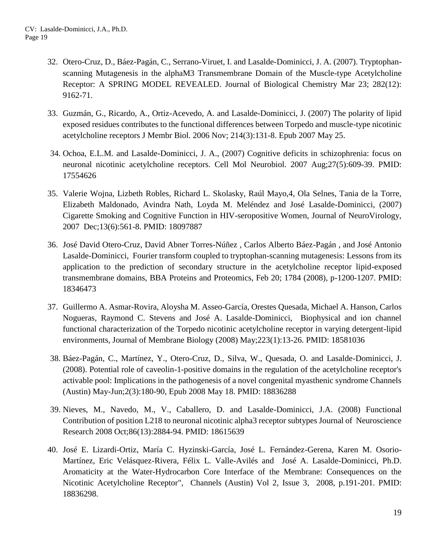- 32. Otero-Cruz, D., Báez-Pagán, C., Serrano-Viruet, I. and Lasalde-Dominicci, J. A. (2007). Tryptophanscanning Mutagenesis in the alphaM3 Transmembrane Domain of the Muscle-type Acetylcholine Receptor: A SPRING MODEL REVEALED. Journal of Biological Chemistry Mar 23; 282(12): 9162-71.
- 33. Guzmán, G., Ricardo, A., Ortiz-Acevedo, A. and Lasalde-Dominicci, J. (2007) The polarity of lipid exposed residues contributes to the functional differences between Torpedo and muscle-type nicotinic acetylcholine receptors J Membr Biol. 2006 Nov; 214(3):131-8. Epub 2007 May 25.
- 34. Ochoa, E.L.M. and Lasalde-Dominicci, J. A., (2007) Cognitive deficits in schizophrenia: focus on neuronal nicotinic acetylcholine receptors. Cell Mol Neurobiol. 2007 Aug;27(5):609-39. PMID: 17554626
- 35. Valerie Wojna, Lizbeth Robles, Richard L. Skolasky, Raúl Mayo,4, Ola Selnes, Tania de la Torre, Elizabeth Maldonado, Avindra Nath, Loyda M. Meléndez and José Lasalde-Dominicci, (2007) Cigarette Smoking and Cognitive Function in HIV-seropositive Women, Journal of NeuroVirology, 2007 Dec;13(6):561-8. PMID: 18097887
- 36. José David Otero-Cruz, David Abner Torres-Núñez , Carlos Alberto Báez-Pagán , and José Antonio Lasalde-Dominicci, Fourier transform coupled to tryptophan-scanning mutagenesis: Lessons from its application to the prediction of secondary structure in the acetylcholine receptor lipid-exposed transmembrane domains, BBA Proteins and Proteomics, Feb 20; 1784 (2008), p-1200-1207. PMID: 18346473
- 37. Guillermo A. Asmar-Rovira, Aloysha M. Asseo-García, Orestes Quesada, Michael A. Hanson, Carlos Nogueras, Raymond C. Stevens and José A. Lasalde-Dominicci, Biophysical and ion channel functional characterization of the Torpedo nicotinic acetylcholine receptor in varying detergent-lipid environments, Journal of Membrane Biology (2008) May;223(1):13-26. PMID: 18581036
- 38. Báez-Pagán, C., Martínez, Y., Otero-Cruz, D., Silva, W., Quesada, O. and Lasalde-Dominicci, J. (2008). Potential role of caveolin-1-positive domains in the regulation of the acetylcholine receptor's activable pool: Implications in the pathogenesis of a novel congenital myasthenic syndrome Channels (Austin) May-Jun;2(3):180-90, Epub 2008 May 18. PMID: 18836288
- 39. Nieves, M., Navedo, M., V., Caballero, D. and Lasalde-Dominicci, J.A. (2008) Functional Contribution of position L218 to neuronal nicotinic alpha3 receptor subtypes Journal of Neuroscience Research 2008 Oct;86(13):2884-94. PMID: 18615639
- 40. José E. Lizardi-Ortiz, María C. Hyzinski-García, José L. Fernández-Gerena, Karen M. Osorio-Martínez, Eric Velásquez-Rivera, Félix L. Valle-Avilés and José A. Lasalde-Dominicci, Ph.D. Aromaticity at the Water-Hydrocarbon Core Interface of the Membrane: Consequences on the Nicotinic Acetylcholine Receptor", Channels (Austin) Vol 2, Issue 3, 2008, p.191-201. PMID: 18836298.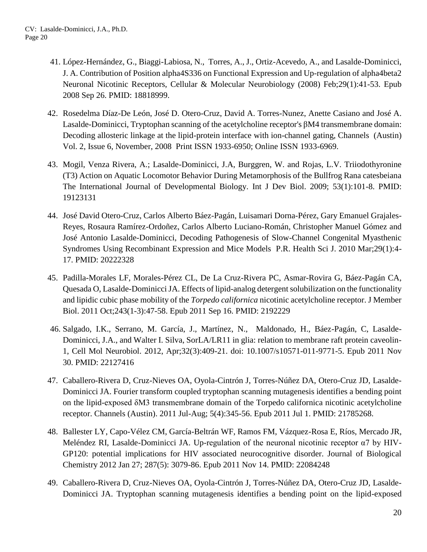- 41. López-Hernández, G., Biaggi-Labiosa, N., Torres, A., J., Ortiz-Acevedo, A., and Lasalde-Dominicci, J. A. Contribution of Position alpha4S336 on Functional Expression and Up-regulation of alpha4beta2 Neuronal Nicotinic Receptors, Cellular & Molecular Neurobiology (2008) Feb;29(1):41-53. Epub 2008 Sep 26. PMID: 18818999.
- 42. Rosedelma Díaz-De León, José D. Otero-Cruz, David A. Torres-Nunez, Anette Casiano and José A. Lasalde-Dominicci, Tryptophan scanning of the acetylcholine receptor's βM4 transmembrane domain: Decoding allosteric linkage at the lipid-protein interface with ion-channel gating, Channels (Austin) Vol. 2, Issue 6, November, 2008 Print ISSN 1933-6950; Online ISSN 1933-6969.
- 43. Mogil, Venza Rivera, A.; Lasalde-Dominicci, J.A, Burggren, W. and Rojas, L.V. Triiodothyronine (T3) Action on Aquatic Locomotor Behavior During Metamorphosis of the Bullfrog Rana catesbeiana The International Journal of Developmental Biology. Int J Dev Biol. 2009; 53(1):101-8. PMID: 19123131
- 44. José David Otero-Cruz, Carlos Alberto Báez-Pagán, Luisamari Dorna-Pérez, Gary Emanuel Grajales-Reyes, Rosaura Ramírez-Ordoñez, Carlos Alberto Luciano-Román, Christopher Manuel Gómez and José Antonio Lasalde-Dominicci, Decoding Pathogenesis of Slow-Channel Congenital Myasthenic Syndromes Using Recombinant Expression and Mice Models P.R. Health Sci J. 2010 Mar;29(1):4- 17. PMID: 20222328
- 45. Padilla-Morales LF, Morales-Pérez CL, De La Cruz-Rivera PC, Asmar-Rovira G, Báez-Pagán CA, Quesada O, Lasalde-Dominicci JA. Effects of lipid-analog detergent solubilization on the functionality and lipidic cubic phase mobility of the *Torpedo californica* nicotinic acetylcholine receptor. J Member Biol. 2011 Oct;243(1-3):47-58. Epub 2011 Sep 16. PMID: 2192229
- 46. Salgado, I.K., Serrano, M. García, J., Martínez, N., Maldonado, H., Báez-Pagán, C, Lasalde-Dominicci, J.A., and Walter I. Silva, SorLA/LR11 in glia: relation to membrane raft protein caveolin-1, Cell Mol Neurobiol. 2012, Apr;32(3):409-21. doi: 10.1007/s10571-011-9771-5. Epub 2011 Nov 30. PMID: 22127416
- 47. Caballero-Rivera D, Cruz-Nieves OA, Oyola-Cintrón J, Torres-Núñez DA, Otero-Cruz JD, Lasalde-Dominicci JA. Fourier transform coupled tryptophan scanning mutagenesis identifies a bending point on the lipid-exposed δM3 transmembrane domain of the Torpedo californica nicotinic acetylcholine receptor. Channels (Austin). 2011 Jul-Aug; 5(4):345-56. Epub 2011 Jul 1. PMID: 21785268.
- 48. Ballester LY, Capo-Vélez CM, García-Beltrán WF, Ramos FM, Vázquez-Rosa E, Ríos, Mercado JR, Meléndez RI, Lasalde-Dominicci JA. Up-regulation of the neuronal nicotinic receptor  $\alpha$ 7 by HIV-GP120: potential implications for HIV associated neurocognitive disorder. Journal of Biological Chemistry 2012 Jan 27; 287(5): 3079-86. Epub 2011 Nov 14. PMID: 22084248
- 49. Caballero-Rivera D, Cruz-Nieves OA, Oyola-Cintrón J, Torres-Núñez DA, Otero-Cruz JD, Lasalde-Dominicci JA. Tryptophan scanning mutagenesis identifies a bending point on the lipid-exposed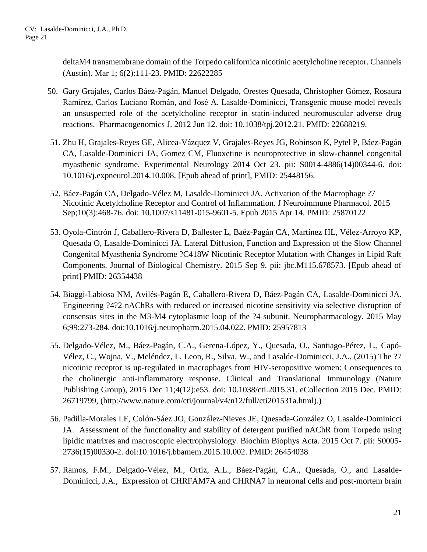deltaM4 transmembrane domain of the Torpedo californica nicotinic acetylcholine receptor. Channels (Austin). Mar 1; 6(2):111-23. PMID: 22622285

- 50. Gary Grajales, Carlos Báez-Pagán, Manuel Delgado, Orestes Quesada, Christopher Gómez, Rosaura Ramírez, Carlos Luciano Román, and José A. Lasalde-Dominicci, Transgenic mouse model reveals an unsuspected role of the acetylcholine receptor in statin-induced neuromuscular adverse drug reactions. Pharmacogenomics J. 2012 Jun 12. doi: 10.1038/tpj.2012.21. PMID: 22688219.
- 51. Zhu H, Grajales-Reyes GE, Alicea-Vázquez V, Grajales-Reyes JG, Robinson K, Pytel P, Báez-Pagán CA, Lasalde-Dominicci JA, Gomez CM, Fluoxetine is neuroprotective in slow-channel congenital myasthenic syndrome. Experimental Neurology 2014 Oct 23. pii: S0014-4886(14)00344-6. doi: 10.1016/j.expneurol.2014.10.008. [Epub ahead of print], PMID: 25448156.
- 52. Báez-Pagán CA, Delgado-Vélez M, Lasalde-Dominicci JA. Activation of the Macrophage ?7 Nicotinic Acetylcholine Receptor and Control of Inflammation. J Neuroimmune Pharmacol. 2015 Sep;10(3):468-76. doi: 10.1007/s11481-015-9601-5. Epub 2015 Apr 14. PMID: 25870122
- 53. Oyola-Cintrón J, Caballero-Rivera D, Ballester L, Baéz-Pagán CA, Martínez HL, Vélez-Arroyo KP, Quesada O, Lasalde-Dominicci JA. Lateral Diffusion, Function and Expression of the Slow Channel Congenital Myasthenia Syndrome ?C418W Nicotinic Receptor Mutation with Changes in Lipid Raft Components. Journal of Biological Chemistry. 2015 Sep 9. pii: jbc.M115.678573. [Epub ahead of print] PMID: 26354438
- 54. Biaggi-Labiosa NM, Avilés-Pagán E, Caballero-Rivera D, Báez-Pagán CA, Lasalde-Dominicci JA. Engineering ?4?2 nAChRs with reduced or increased nicotine sensitivity via selective disruption of consensus sites in the M3-M4 cytoplasmic loop of the ?4 subunit. Neuropharmacology. 2015 May 6;99:273-284. doi:10.1016/j.neuropharm.2015.04.022. PMID: 25957813
- 55. Delgado-Vélez, M., Báez-Pagán, C.A., Gerena-López, Y., Quesada, O., Santiago-Pérez, L., Capó-Vélez, C., Wojna, V., Meléndez, L, Leon, R., Silva, W., and Lasalde-Dominicci, J.A., (2015) The ?7 nicotinic receptor is up-regulated in macrophages from HIV-seropositive women: Consequences to the cholinergic anti-inflammatory response. Clinical and Translational Immunology (Nature Publishing Group), 2015 Dec 11;4(12):e53. doi: 10.1038/cti.2015.31. eCollection 2015 Dec. PMID: 26719799, (http://www.nature.com/cti/journal/v4/n12/full/cti201531a.html).)
- 56. Padilla-Morales LF, Colón-Sáez JO, González-Nieves JE, Quesada-González O, Lasalde-Dominicci JA. Assessment of the functionality and stability of detergent purified nAChR from Torpedo using lipidic matrixes and macroscopic electrophysiology. Biochim Biophys Acta. 2015 Oct 7. pii: S0005- 2736(15)00330-2. doi:10.1016/j.bbamem.2015.10.002. PMID: 26454038
- 57. Ramos, F.M., Delgado-Vélez, M., Ortíz, A.L., Báez-Pagán, C.A., Quesada, O., and Lasalde-Dominicci, J.A., Expression of CHRFAM7A and CHRNA7 in neuronal cells and post-mortem brain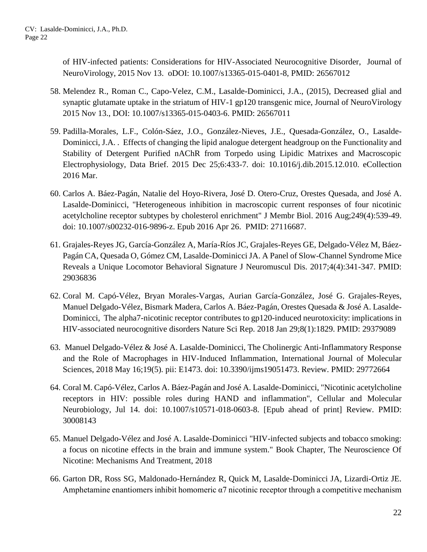of HIV-infected patients: Considerations for HIV-Associated Neurocognitive Disorder, Journal of NeuroVirology, 2015 Nov 13. oDOI: 10.1007/s13365-015-0401-8, PMID: 26567012

- 58. Melendez R., Roman C., Capo-Velez, C.M., Lasalde-Dominicci, J.A., (2015), Decreased glial and synaptic glutamate uptake in the striatum of HIV-1 gp120 transgenic mice, Journal of NeuroVirology 2015 Nov 13., DOI: 10.1007/s13365-015-0403-6. PMID: 26567011
- 59. Padilla-Morales, L.F., Colón-Sáez, J.O., González-Nieves, J.E., Quesada-González, O., Lasalde-Dominicci, J.A. . Effects of changing the lipid analogue detergent headgroup on the Functionality and Stability of Detergent Purified nAChR from Torpedo using Lipidic Matrixes and Macroscopic Electrophysiology, Data Brief. 2015 Dec 25;6:433-7. doi: 10.1016/j.dib.2015.12.010. eCollection 2016 Mar.
- 60. Carlos A. Báez-Pagán, Natalie del Hoyo-Rivera, José D. Otero-Cruz, Orestes Quesada, and José A. Lasalde-Dominicci, "Heterogeneous inhibition in macroscopic current responses of four nicotinic acetylcholine receptor subtypes by cholesterol enrichment" J Membr Biol. 2016 Aug;249(4):539-49. doi: 10.1007/s00232-016-9896-z. Epub 2016 Apr 26. PMID: 27116687.
- 61. Grajales-Reyes JG, García-González A, María-Ríos JC, Grajales-Reyes GE, Delgado-Vélez M, Báez-Pagán CA, Quesada O, Gómez CM, Lasalde-Dominicci JA. A Panel of Slow-Channel Syndrome Mice Reveals a Unique Locomotor Behavioral Signature J Neuromuscul Dis. 2017;4(4):341-347. PMID: 29036836
- 62. Coral M. Capó-Vélez, Bryan Morales-Vargas, Aurian García-González, José G. Grajales-Reyes, Manuel Delgado-Vélez, Bismark Madera, Carlos A. Báez-Pagán, Orestes Quesada & José A. Lasalde-Dominicci, The alpha7-nicotinic receptor contributes to gp120-induced neurotoxicity: implications in HIV-associated neurocognitive disorders Nature Sci Rep. 2018 Jan 29;8(1):1829. PMID: 29379089
- 63. Manuel Delgado-Vélez & José A. Lasalde-Dominicci, The Cholinergic Anti-Inflammatory Response and the Role of Macrophages in HIV-Induced Inflammation, International Journal of Molecular Sciences, 2018 May 16;19(5). pii: E1473. doi: 10.3390/ijms19051473. Review. PMID: 29772664
- 64. Coral M. Capó-Vélez, Carlos A. Báez-Pagán and José A. Lasalde-Dominicci, "Nicotinic acetylcholine receptors in HIV: possible roles during HAND and inflammation", Cellular and Molecular Neurobiology, Jul 14. doi: 10.1007/s10571-018-0603-8. [Epub ahead of print] Review. PMID: 30008143
- 65. Manuel Delgado-Vélez and José A. Lasalde-Dominicci "HIV-infected subjects and tobacco smoking: a focus on nicotine effects in the brain and immune system." Book Chapter, The Neuroscience Of Nicotine: Mechanisms And Treatment, 2018
- 66. Garton DR, Ross SG, Maldonado-Hernández R, Quick M, Lasalde-Dominicci JA, Lizardi-Ortiz JE. Amphetamine enantiomers inhibit homomeric  $\alpha$ 7 nicotinic receptor through a competitive mechanism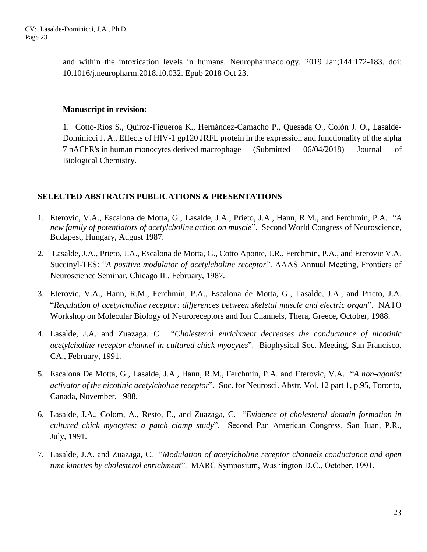and within the intoxication levels in humans. Neuropharmacology. 2019 Jan;144:172-183. doi: 10.1016/j.neuropharm.2018.10.032. Epub 2018 Oct 23.

#### **Manuscript in revision:**

1. Cotto-Ríos S., Quiroz-Figueroa K., Hernández-Camacho P., Quesada O., Colón J. O., Lasalde-Dominicci J. A., Effects of HIV-1 gp120 JRFL protein in the expression and functionality of the alpha 7 nAChR's in human monocytes derived macrophage (Submitted 06/04/2018) Journal of Biological Chemistry.

#### **SELECTED ABSTRACTS PUBLICATIONS & PRESENTATIONS**

- 1. Eterovic, V.A., Escalona de Motta, G., Lasalde, J.A., Prieto, J.A., Hann, R.M., and Ferchmin, P.A. "*A new family of potentiators of acetylcholine action on muscle*". Second World Congress of Neuroscience, Budapest, Hungary, August 1987.
- 2. Lasalde, J.A., Prieto, J.A., Escalona de Motta, G., Cotto Aponte, J.R., Ferchmin, P.A., and Eterovic V.A. Succinyl-TES: "*A positive modulator of acetylcholine receptor*". AAAS Annual Meeting, Frontiers of Neuroscience Seminar, Chicago IL, February, 1987.
- 3. Eterovic, V.A., Hann, R.M., Ferchmín, P.A., Escalona de Motta, G., Lasalde, J.A., and Prieto, J.A. "*Regulation of acetylcholine receptor: differences between skeletal muscle and electric organ*". NATO Workshop on Molecular Biology of Neuroreceptors and Ion Channels, Thera, Greece, October, 1988.
- 4. Lasalde, J.A. and Zuazaga, C. "*Cholesterol enrichment decreases the conductance of nicotinic acetylcholine receptor channel in cultured chick myocytes*". Biophysical Soc. Meeting, San Francisco, CA., February, 1991.
- 5. Escalona De Motta, G., Lasalde, J.A., Hann, R.M., Ferchmin, P.A. and Eterovic, V.A. "*A non-agonist activator of the nicotinic acetylcholine receptor*". Soc. for Neurosci. Abstr. Vol. 12 part 1, p.95, Toronto, Canada, November, 1988.
- 6. Lasalde, J.A., Colom, A., Resto, E., and Zuazaga, C. "*Evidence of cholesterol domain formation in cultured chick myocytes: a patch clamp study*". Second Pan American Congress, San Juan, P.R., July, 1991.
- 7. Lasalde, J.A. and Zuazaga, C. "*Modulation of acetylcholine receptor channels conductance and open time kinetics by cholesterol enrichment*". MARC Symposium, Washington D.C., October, 1991.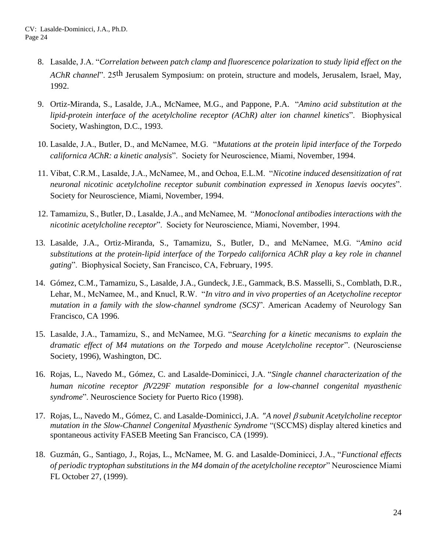- 8. Lasalde, J.A. "*Correlation between patch clamp and fluorescence polarization to study lipid effect on the AChR channel*". 25th Jerusalem Symposium: on protein, structure and models, Jerusalem, Israel, May, 1992.
- 9. Ortiz-Miranda, S., Lasalde, J.A., McNamee, M.G., and Pappone, P.A. "*Amino acid substitution at the lipid-protein interface of the acetylcholine receptor (AChR) alter ion channel kinetics*". Biophysical Society, Washington, D.C., 1993.
- 10. Lasalde, J.A., Butler, D., and McNamee, M.G. "*Mutations at the protein lipid interface of the Torpedo californica AChR: a kinetic analysis*". Society for Neuroscience, Miami, November, 1994.
- 11. Vibat, C.R.M., Lasalde, J.A., McNamee, M., and Ochoa, E.L.M. "*Nicotine induced desensitization of rat neuronal nicotinic acetylcholine receptor subunit combination expressed in Xenopus laevis oocytes*". Society for Neuroscience, Miami, November, 1994.
- 12. Tamamizu, S., Butler, D., Lasalde, J.A., and McNamee, M. "*Monoclonal antibodies interactions with the nicotinic acetylcholine receptor*". Society for Neuroscience, Miami, November, 1994.
- 13. Lasalde, J.A., Ortiz-Miranda, S., Tamamizu, S., Butler, D., and McNamee, M.G. "*Amino acid substitutions at the protein-lipid interface of the Torpedo californica AChR play a key role in channel gating*". Biophysical Society, San Francisco, CA, February, 1995.
- 14. Gómez, C.M., Tamamizu, S., Lasalde, J.A., Gundeck, J.E., Gammack, B.S. Masselli, S., Comblath, D.R., Lehar, M., McNamee, M., and Knucl, R.W. "*In vitro and in vivo properties of an Acetycholine receptor mutation in a family with the slow-channel syndrome (SCS)*". American Academy of Neurology San Francisco, CA 1996.
- 15. Lasalde, J.A., Tamamizu, S., and McNamee, M.G. "*Searching for a kinetic mecanisms to explain the dramatic effect of M4 mutations on the Torpedo and mouse Acetylcholine receptor*". (Neurosciense Society, 1996), Washington, DC.
- 16. Rojas, L., Navedo M., Gómez, C. and Lasalde-Dominicci, J.A. "*Single channel characterization of the human nicotine receptor V229F mutation responsible for a low-channel congenital myasthenic syndrome*". Neuroscience Society for Puerto Rico (1998).
- 17. Rojas, L., Navedo M., Gómez, C. and Lasalde-Dominicci, J.A. "A novel  $\beta$  subunit Acetylcholine receptor *mutation in the Slow-Channel Congenital Myasthenic Syndrome* "(SCCMS) display altered kinetics and spontaneous activity FASEB Meeting San Francisco, CA (1999).
- 18. Guzmán, G., Santiago, J., Rojas, L., McNamee, M. G. and Lasalde-Dominicci, J.A., "*Functional effects of periodic tryptophan substitutions in the M4 domain of the acetylcholine receptor*" Neuroscience Miami FL October 27, (1999).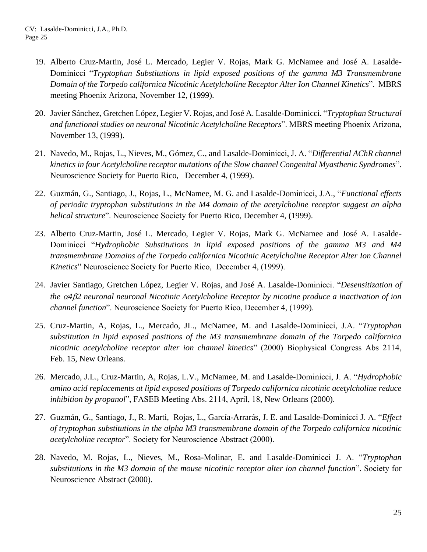- 19. Alberto Cruz-Martin, José L. Mercado, Legier V. Rojas, Mark G. McNamee and José A. Lasalde-Dominicci "*Tryptophan Substitutions in lipid exposed positions of the gamma M3 Transmembrane Domain of the Torpedo californica Nicotinic Acetylcholine Receptor Alter Ion Channel Kinetics*". MBRS meeting Phoenix Arizona, November 12, (1999).
- 20. Javier Sánchez, Gretchen López, Legier V. Rojas, and José A. Lasalde-Dominicci. "*Tryptophan Structural and functional studies on neuronal Nicotinic Acetylcholine Receptors*". MBRS meeting Phoenix Arizona, November 13, (1999).
- 21. Navedo, M., Rojas, L., Nieves, M., Gómez, C., and Lasalde-Dominicci, J. A. "*Differential AChR channel kinetics in four Acetylcholine receptor mutations of the Slow channel Congenital Myasthenic Syndromes*". Neuroscience Society for Puerto Rico, December 4, (1999).
- 22. Guzmán, G., Santiago, J., Rojas, L., McNamee, M. G. and Lasalde-Dominicci, J.A., "*Functional effects of periodic tryptophan substitutions in the M4 domain of the acetylcholine receptor suggest an alpha helical structure*". Neuroscience Society for Puerto Rico, December 4, (1999).
- 23. Alberto Cruz-Martin, José L. Mercado, Legier V. Rojas, Mark G. McNamee and José A. Lasalde-Dominicci "*Hydrophobic Substitutions in lipid exposed positions of the gamma M3 and M4 transmembrane Domains of the Torpedo californica Nicotinic Acetylcholine Receptor Alter Ion Channel Kinetics*" Neuroscience Society for Puerto Rico, December 4, (1999).
- 24. Javier Santiago, Gretchen López, Legier V. Rojas, and José A. Lasalde-Dominicci. "*Desensitization of the 42 neuronal neuronal Nicotinic Acetylcholine Receptor by nicotine produce a inactivation of ion channel function*". Neuroscience Society for Puerto Rico, December 4, (1999).
- 25. Cruz-Martin, A, Rojas, L., Mercado, JL., McNamee, M. and Lasalde-Dominicci, J.A. "*Tryptophan substitution in lipid exposed positions of the M3 transmembrane domain of the Torpedo californica nicotinic acetylcholine receptor alter ion channel kinetics*" (2000) Biophysical Congress Abs 2114, Feb. 15, New Orleans.
- 26. Mercado, J.L., Cruz-Martin, A, Rojas, L.V., McNamee, M. and Lasalde-Dominicci, J. A. "*Hydrophobic amino acid replacements at lipid exposed positions of Torpedo californica nicotinic acetylcholine reduce inhibition by propanol*", FASEB Meeting Abs. 2114, April, 18, New Orleans (2000).
- 27. Guzmán, G., Santiago, J., R. Marti, Rojas, L., García-Arrarás, J. E. and Lasalde-Dominicci J. A. "*Effect of tryptophan substitutions in the alpha M3 transmembrane domain of the Torpedo californica nicotinic acetylcholine receptor*". Society for Neuroscience Abstract (2000).
- 28. Navedo, M. Rojas, L., Nieves, M., Rosa-Molinar, E. and Lasalde-Dominicci J. A. "*Tryptophan substitutions in the M3 domain of the mouse nicotinic receptor alter ion channel function*". Society for Neuroscience Abstract (2000).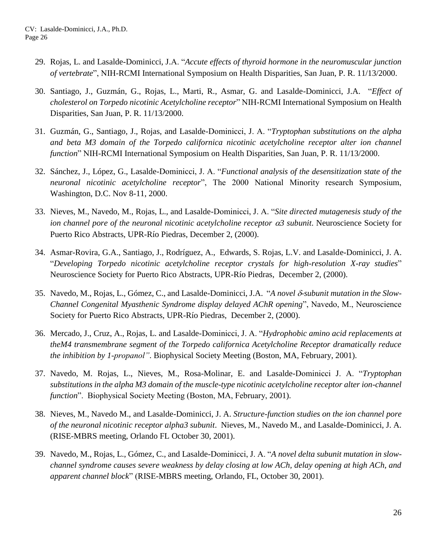- 29. Rojas, L. and Lasalde-Dominicci, J.A. "*Accute effects of thyroid hormone in the neuromuscular junction of vertebrate*", NIH-RCMI International Symposium on Health Disparities, San Juan, P. R. 11/13/2000.
- 30. Santiago, J., Guzmán, G., Rojas, L., Marti, R., Asmar, G. and Lasalde-Dominicci, J.A. "*Effect of cholesterol on Torpedo nicotinic Acetylcholine receptor*" NIH-RCMI International Symposium on Health Disparities, San Juan, P. R. 11/13/2000.
- 31. Guzmán, G., Santiago, J., Rojas, and Lasalde-Dominicci, J. A. "*Tryptophan substitutions on the alpha and beta M3 domain of the Torpedo californica nicotinic acetylcholine receptor alter ion channel function*" NIH-RCMI International Symposium on Health Disparities, San Juan, P. R. 11/13/2000.
- 32. Sánchez, J., López, G., Lasalde-Dominicci, J. A. "*Functional analysis of the desensitization state of the neuronal nicotinic acetylcholine receptor*", The 2000 National Minority research Symposium, Washington, D.C. Nov 8-11, 2000.
- 33. Nieves, M., Navedo, M., Rojas, L., and Lasalde-Dominicci, J. A. "*Site directed mutagenesis study of the ion channel pore of the neuronal nicotinic acetylcholine receptor*  $\alpha$ *<sup>3</sup> <i>subunit*. Neuroscience Society for Puerto Rico Abstracts, UPR-Río Piedras, December 2, (2000).
- 34. Asmar-Rovira, G.A., Santiago, J., Rodríguez, A., Edwards, S. Rojas, L.V. and Lasalde-Dominicci, J. A. "*Developing Torpedo nicotinic acetylcholine receptor crystals for high-resolution X-ray studies*" Neuroscience Society for Puerto Rico Abstracts, UPR-Río Piedras, December 2, (2000).
- 35. Navedo, M., Rojas, L., Gómez, C., and Lasalde-Dominicci, J.A. "A novel  $\delta$ -subunit mutation in the Slow-*Channel Congenital Myasthenic Syndrome display delayed AChR opening*", Navedo, M., Neuroscience Society for Puerto Rico Abstracts, UPR-Río Piedras, December 2, (2000).
- 36. Mercado, J., Cruz, A., Rojas, L. and Lasalde-Dominicci, J. A. "*Hydrophobic amino acid replacements at theM4 transmembrane segment of the Torpedo californica Acetylcholine Receptor dramatically reduce the inhibition by 1-propanol"*. Biophysical Society Meeting (Boston, MA, February, 2001).
- 37. Navedo, M. Rojas, L., Nieves, M., Rosa-Molinar, E. and Lasalde-Dominicci J. A. "*Tryptophan substitutions in the alpha M3 domain of the muscle-type nicotinic acetylcholine receptor alter ion-channel function*". Biophysical Society Meeting (Boston, MA, February, 2001).
- 38. Nieves, M., Navedo M., and Lasalde-Dominicci, J. A. *Structure-function studies on the ion channel pore of the neuronal nicotinic receptor alpha3 subunit*. Nieves, M., Navedo M., and Lasalde-Dominicci, J. A. (RISE-MBRS meeting, Orlando FL October 30, 2001).
- 39. Navedo, M., Rojas, L., Gómez, C., and Lasalde-Dominicci, J. A. "*A novel delta subunit mutation in slowchannel syndrome causes severe weakness by delay closing at low ACh, delay opening at high ACh, and apparent channel block*" (RISE-MBRS meeting, Orlando, FL, October 30, 2001).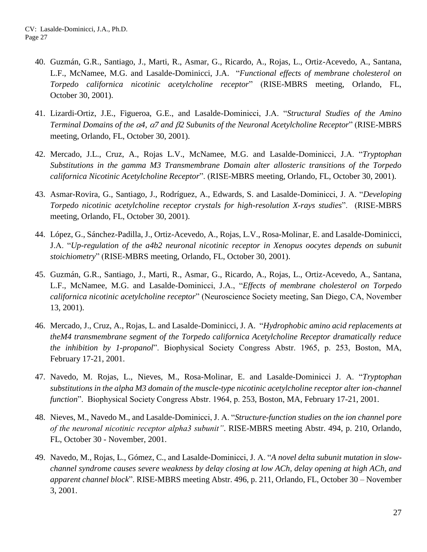- 40. Guzmán, G.R., Santiago, J., Marti, R., Asmar, G., Ricardo, A., Rojas, L., Ortiz-Acevedo, A., Santana, L.F., McNamee, M.G. and Lasalde-Dominicci, J.A. "*Functional effects of membrane cholesterol on Torpedo californica nicotinic acetylcholine receptor*" (RISE-MBRS meeting, Orlando, FL, October 30, 2001).
- 41. Lizardi-Ortiz, J.E., Figueroa, G.E., and Lasalde-Dominicci, J.A. "*Structural Studies of the Amino Terminal Domains of the 4, 7 and 2 Subunits of the Neuronal Acetylcholine Receptor*" (RISE-MBRS meeting, Orlando, FL, October 30, 2001).
- 42. Mercado, J.L., Cruz, A., Rojas L.V., McNamee, M.G. and Lasalde-Dominicci, J.A. "*Tryptophan Substitutions in the gamma M3 Transmembrane Domain alter allosteric transitions of the Torpedo californica Nicotinic Acetylcholine Receptor*". (RISE-MBRS meeting, Orlando, FL, October 30, 2001).
- 43. Asmar-Rovira, G., Santiago, J., Rodríguez, A., Edwards, S. and Lasalde-Dominicci, J. A. "*Developing Torpedo nicotinic acetylcholine receptor crystals for high-resolution X-rays studies*". (RISE-MBRS meeting, Orlando, FL, October 30, 2001).
- 44. López, G., Sánchez-Padilla, J., Ortiz-Acevedo, A., Rojas, L.V., Rosa-Molinar, E. and Lasalde-Dominicci, J.A. "*Up-regulation of the a4b2 neuronal nicotinic receptor in Xenopus oocytes depends on subunit stoichiometry*" (RISE-MBRS meeting, Orlando, FL, October 30, 2001).
- 45. Guzmán, G.R., Santiago, J., Marti, R., Asmar, G., Ricardo, A., Rojas, L., Ortiz-Acevedo, A., Santana, L.F., McNamee, M.G. and Lasalde-Dominicci, J.A., "*Effects of membrane cholesterol on Torpedo californica nicotinic acetylcholine receptor*" (Neuroscience Society meeting, San Diego, CA, November 13, 2001).
- 46. Mercado, J., Cruz, A., Rojas, L. and Lasalde-Dominicci, J. A. "*Hydrophobic amino acid replacements at theM4 transmembrane segment of the Torpedo californica Acetylcholine Receptor dramatically reduce the inhibition by 1-propanol*". Biophysical Society Congress Abstr. 1965, p. 253, Boston, MA, February 17-21, 2001.
- 47. Navedo, M. Rojas, L., Nieves, M., Rosa-Molinar, E. and Lasalde-Dominicci J. A. "*Tryptophan substitutions in the alpha M3 domain of the muscle-type nicotinic acetylcholine receptor alter ion-channel function*". Biophysical Society Congress Abstr. 1964, p. 253, Boston, MA, February 17-21, 2001.
- 48. Nieves, M., Navedo M., and Lasalde-Dominicci, J. A. "*Structure-function studies on the ion channel pore of the neuronal nicotinic receptor alpha3 subunit"*. RISE-MBRS meeting Abstr. 494, p. 210, Orlando, FL, October 30 - November, 2001.
- 49. Navedo, M., Rojas, L., Gómez, C., and Lasalde-Dominicci, J. A. "*A novel delta subunit mutation in slowchannel syndrome causes severe weakness by delay closing at low ACh, delay opening at high ACh, and apparent channel block*". RISE-MBRS meeting Abstr. 496, p. 211, Orlando, FL, October 30 – November 3, 2001.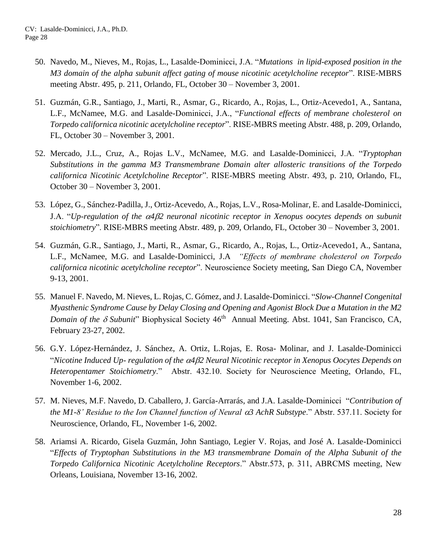- 50. Navedo, M., Nieves, M., Rojas, L., Lasalde-Dominicci, J.A. "*Mutations in lipid-exposed position in the M3 domain of the alpha subunit affect gating of mouse nicotinic acetylcholine receptor*". RISE-MBRS meeting Abstr. 495, p. 211, Orlando, FL, October 30 – November 3, 2001.
- 51. Guzmán, G.R., Santiago, J., Marti, R., Asmar, G., Ricardo, A., Rojas, L., Ortiz-Acevedo1, A., Santana, L.F., McNamee, M.G. and Lasalde-Dominicci, J.A., "*Functional effects of membrane cholesterol on Torpedo californica nicotinic acetylcholine receptor*". RISE-MBRS meeting Abstr. 488, p. 209, Orlando, FL, October 30 – November 3, 2001.
- 52. Mercado, J.L., Cruz, A., Rojas L.V., McNamee, M.G. and Lasalde-Dominicci, J.A. "*Tryptophan Substitutions in the gamma M3 Transmembrane Domain alter allosteric transitions of the Torpedo californica Nicotinic Acetylcholine Receptor*". RISE-MBRS meeting Abstr. 493, p. 210, Orlando, FL, October 30 – November 3, 2001.
- 53. López, G., Sánchez-Padilla, J., Ortiz-Acevedo, A., Rojas, L.V., Rosa-Molinar, E. and Lasalde-Dominicci, J.A. "*Up-regulation of the 42 neuronal nicotinic receptor in Xenopus oocytes depends on subunit stoichiometry*". RISE-MBRS meeting Abstr. 489, p. 209, Orlando, FL, October 30 – November 3, 2001.
- 54. Guzmán, G.R., Santiago, J., Marti, R., Asmar, G., Ricardo, A., Rojas, L., Ortiz-Acevedo1, A., Santana, L.F., McNamee, M.G. and Lasalde-Dominicci, J.A *"Effects of membrane cholesterol on Torpedo californica nicotinic acetylcholine receptor*". Neuroscience Society meeting, San Diego CA, November 9-13, 2001.
- 55. Manuel F. Navedo, M. Nieves, L. Rojas, C. Gómez, and J. Lasalde-Dominicci. "*Slow-Channel Congenital Myasthenic Syndrome Cause by Delay Closing and Opening and Agonist Block Due a Mutation in the M2 Domain of the*  $\delta$  *Subunit*" Biophysical Society  $46<sup>th</sup>$  Annual Meeting. Abst. 1041, San Francisco, CA, February 23-27, 2002.
- 56. G.Y. López-Hernández, J. Sánchez, A. Ortiz, L.Rojas, E. Rosa- Molinar, and J. Lasalde-Dominicci "*Nicotine Induced Up- regulation of the 42 Neural Nicotinic receptor in Xenopus Oocytes Depends on Heteropentamer Stoichiometry*." Abstr. 432.10. Society for Neuroscience Meeting, Orlando, FL, November 1-6, 2002.
- 57. M. Nieves, M.F. Navedo, D. Caballero, J. García-Arrarás, and J.A. Lasalde-Dominicci "*Contribution of the M1-8' Residue to the Ion Channel function of Neural 3 AchR Substype*." Abstr. 537.11. Society for Neuroscience, Orlando, FL, November 1-6, 2002.
- 58. Ariamsi A. Ricardo, Gisela Guzmán, John Santiago, Legier V. Rojas, and José A. Lasalde-Dominicci "*Effects of Tryptophan Substitutions in the M3 transmembrane Domain of the Alpha Subunit of the Torpedo Californica Nicotinic Acetylcholine Receptors*." Abstr.573, p. 311, ABRCMS meeting, New Orleans, Louisiana, November 13-16, 2002.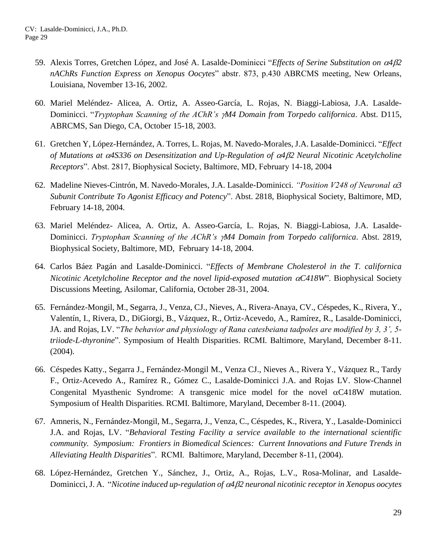- 59. Alexis Torres, Gretchen López, and José A. Lasalde-Dominicci "*Effects of Serine Substitution on 42 nAChRs Function Express on Xenopus Oocytes*" abstr. 873, p.430 ABRCMS meeting, New Orleans, Louisiana, November 13-16, 2002.
- 60. Mariel Meléndez- Alicea, A. Ortiz, A. Asseo-García, L. Rojas, N. Biaggi-Labiosa, J.A. Lasalde-Dominicci. "*Tryptophan Scanning of the AChR's M4 Domain from Torpedo californica*. Abst. D115, ABRCMS, San Diego, CA, October 15-18, 2003.
- 61. Gretchen Y, López-Hernández, A. Torres, L. Rojas, M. Navedo-Morales, J.A. Lasalde-Dominicci. "*Effect of Mutations at 4S336 on Desensitization and Up-Regulation of 42 Neural Nicotinic Acetylcholine Receptors*". Abst. 2817, Biophysical Society, Baltimore, MD, February 14-18, 2004
- 62. Madeline Nieves-Cintrón, M. Navedo-Morales, J.A. Lasalde-Dominicci. *"Position V248 of Neuronal 3 Subunit Contribute To Agonist Efficacy and Potency*". Abst. 2818, Biophysical Society, Baltimore, MD, February 14-18, 2004.
- 63. Mariel Meléndez- Alicea, A. Ortiz, A. Asseo-García, L. Rojas, N. Biaggi-Labiosa, J.A. Lasalde-Dominicci. *Tryptophan Scanning of the AChR's M4 Domain from Torpedo californica*. Abst. 2819, Biophysical Society, Baltimore, MD, February 14-18, 2004.
- 64. Carlos Báez Pagán and Lasalde-Dominicci. "*Effects of Membrane Cholesterol in the T. californica Nicotinic Acetylcholine Receptor and the novel lipid-exposed mutation*  $\alpha$ *C418W". Biophysical Society* Discussions Meeting, Asilomar, California, October 28-31, 2004.
- 65. Fernández-Mongil, M., Segarra, J., Venza, CJ., Nieves, A., Rivera-Anaya, CV., Céspedes, K., Rivera, Y., Valentín, I., Rivera, D., DiGiorgi, B., Vázquez, R., Ortiz-Acevedo, A., Ramírez, R., Lasalde-Dominicci, JA. and Rojas, LV. "*The behavior and physiology of Rana catesbeiana tadpoles are modified by 3, 3', 5 triiode-L-thyronine*". Symposium of Health Disparities. RCMI. Baltimore, Maryland, December 8-11. (2004).
- 66. Céspedes Katty., Segarra J., Fernández-Mongil M., Venza CJ., Nieves A., Rivera Y., Vázquez R., Tardy F., Ortiz-Acevedo A., Ramírez R., Gómez C., Lasalde-Dominicci J.A. and Rojas LV. Slow-Channel Congenital Myasthenic Syndrome: A transgenic mice model for the novel  $\alpha$ C418W mutation. Symposium of Health Disparities. RCMI. Baltimore, Maryland, December 8-11. (2004).
- 67. Amneris, N., Fernández-Mongil, M., Segarra, J., Venza, C., Céspedes, K., Rivera, Y., Lasalde-Dominicci J.A. and Rojas, LV. "*Behavioral Testing Facility a service available to the international scientific community. Symposium: Frontiers in Biomedical Sciences: Current Innovations and Future Trends in Alleviating Health Disparities*". RCMI. Baltimore, Maryland, December 8-11, (2004).
- 68. López-Hernández, Gretchen Y., Sánchez, J., Ortiz, A., Rojas, L.V., Rosa-Molinar, and Lasalde-Dominicci, J. A. "*Nicotine induced up-regulation of 42 neuronal nicotinic receptor in Xenopus oocytes*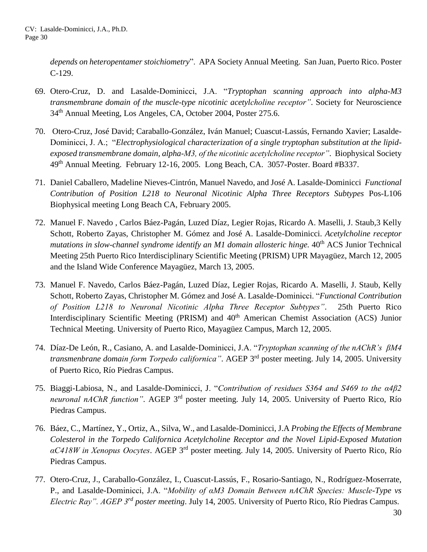*depends on heteropentamer stoichiometry*". APA Society Annual Meeting. San Juan, Puerto Rico. Poster C-129.

- 69. Otero-Cruz, D. and Lasalde-Dominicci, J.A. "*Tryptophan scanning approach into alpha-M3 transmembrane domain of the muscle-type nicotinic acetylcholine receptor"*. Society for Neuroscience 34<sup>th</sup> Annual Meeting, Los Angeles, CA, October 2004, Poster 275.6.
- 70. Otero-Cruz, José David; Caraballo-González, Iván Manuel; Cuascut-Lassús, Fernando Xavier; Lasalde-Dominicci, J. A.; "*Electrophysiological characterization of a single tryptophan substitution at the lipidexposed transmembrane domain, alpha-M3, of the nicotinic acetylcholine receptor"*. Biophysical Society 49th Annual Meeting. February 12-16, 2005. Long Beach, CA. 3057-Poster. Board #B337.
- 71. Daniel Caballero, Madeline Nieves-Cintrón, Manuel Navedo, and José A. Lasalde-Dominicci *Functional Contribution of Position L218 to Neuronal Nicotinic Alpha Three Receptors Subtypes* Pos-L106 Biophysical meeting Long Beach CA, February 2005.
- 72. Manuel F. Navedo , Carlos Báez-Pagán, Luzed Díaz, Legier Rojas, Ricardo A. Maselli, J. Staub,3 Kelly Schott, Roberto Zayas, Christopher M. Gómez and José A. Lasalde-Dominicci. *Acetylcholine receptor mutations in slow-channel syndrome identify an M1 domain allosteric hinge.* 40<sup>th</sup> ACS Junior Technical Meeting 25th Puerto Rico Interdisciplinary Scientific Meeting (PRISM) UPR Mayagüez, March 12, 2005 and the Island Wide Conference Mayagüez, March 13, 2005.
- 73. Manuel F. Navedo, Carlos Báez-Pagán, Luzed Díaz, Legier Rojas, Ricardo A. Maselli, J. Staub, Kelly Schott, Roberto Zayas, Christopher M. Gómez and José A. Lasalde-Dominicci. "*Functional Contribution of Position L218 to Neuronal Nicotinic Alpha Three Receptor Subtypes"*. 25th Puerto Rico Interdisciplinary Scientific Meeting (PRISM) and 40<sup>th</sup> American Chemist Association (ACS) Junior Technical Meeting. University of Puerto Rico, Mayagüez Campus, March 12, 2005.
- 74. Díaz-De León, R., Casiano, A. and Lasalde-Dominicci, J.A. "*Tryptophan scanning of the nAChR's βM4 transmenbrane domain form Torpedo californica"*. AGEP 3rd poster meeting. July 14, 2005. University of Puerto Rico, Río Piedras Campus.
- 75. Biaggi-Labiosa, N., and Lasalde-Dominicci, J. "*Contribution of residues S364 and S469 to the α4β2 neuronal nAChR function"*. AGEP 3rd poster meeting. July 14, 2005. University of Puerto Rico, Río Piedras Campus.
- 76. Báez, C., Martínez, Y., Ortiz, A., Silva, W., and Lasalde-Dominicci, J.A *Probing the Effects of Membrane Colesterol in the Torpedo Californica Acetylcholine Receptor and the Novel Lipid-Exposed Mutation αC418W in Xenopus Oocytes*. AGEP 3rd poster meeting. July 14, 2005. University of Puerto Rico, Río Piedras Campus.
- 77. Otero-Cruz, J., Caraballo-González, I., Cuascut-Lassús, F., Rosario-Santiago, N., Rodríguez-Moserrate, P., and Lasalde-Dominicci, J.A. "*Mobility of αM3 Domain Between nAChR Species: Muscle-Type vs Electric Ray". AGEP 3rd poster meeting*. July 14, 2005. University of Puerto Rico, Río Piedras Campus.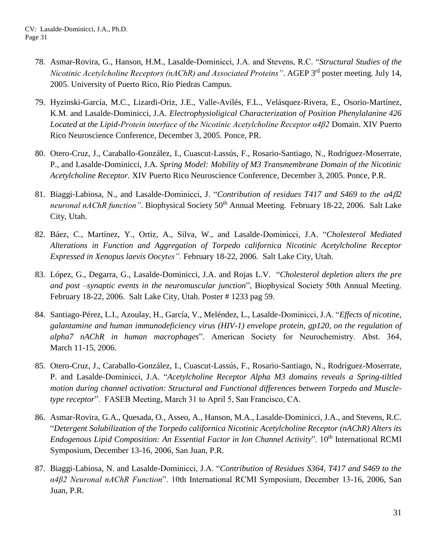- 78. Asmar-Rovira, G., Hanson, H.M., Lasalde-Dominicci, J.A. and Stevens, R.C. "*Structural Studies of the Nicotinic Acetylcholine Receptors (nAChR) and Associated Proteins"*. AGEP 3rd poster meeting. July 14, 2005. University of Puerto Rico, Río Piedras Campus.
- 79. Hyzinski-García, M.C., Lizardi-Oriz, J.E., Valle-Avilés, F.L., Velásquez-Rivera, E., Osorio-Martínez, K.M. and Lasalde-Dominicci, J.A. *Electrophysioligical Characterization of Position Phenylalanine 426 Located at the Lipid-Protein interface of the Nicotinic Acetylcholine Receptor α4β2* Domain. XIV Puerto Rico Neuroscience Conference, December 3, 2005. Ponce, PR.
- 80. Otero-Cruz, J., Caraballo-González, I., Cuascut-Lassús, F., Rosario-Santiago, N., Rodríguez-Moserrate, P., and Lasalde-Dominicci, J.A. *Spring Model: Mobility of M3 Transmembrane Domain of the Nicotinic Acetylcholine Receptor.* XIV Puerto Rico Neuroscience Conference, December 3, 2005. Ponce, P.R.
- 81. Biaggi-Labiosa, N., and Lasalde-Dominicci, J. "*Contribution of residues T417 and S469 to the 42 neuronal nAChR function"*. Biophysical Society 50<sup>th</sup> Annual Meeting. February 18-22, 2006. Salt Lake City, Utah.
- 82. Báez, C., Martínez, Y., Ortiz, A., Silva, W., and Lasalde-Dominicci, J.A. "*Cholesterol Mediated Alterations in Function and Aggregation of Torpedo californica Nicotinic Acetylcholine Receptor Expressed in Xenopus laevis Oocytes".* February 18-22, 2006. Salt Lake City, Utah.
- 83. López, G., Degarra, G., Lasalde-Dominicci, J.A. and Rojas L.V. "*Cholesterol depletion alters the pre and post –synaptic events in the neuromuscular junction*", Biophysical Society 50th Annual Meeting. February 18-22, 2006. Salt Lake City, Utah. Poster # 1233 pag 59.
- 84. Santiago-Pérez, L.I., Azoulay, H., García, V., Meléndez, L., Lasalde-Dominicci, J.A. "*Effects of nicotine, galantamine and human immunodeficiency virus (HIV-1) envelope protein, gp120, on the regulation of alpha7 nAChR in human macrophages*". American Society for Neurochemistry. Abst. 364, March 11-15, 2006.
- 85. Otero-Cruz, J., Caraballo-González, I., Cuascut-Lassús, F., Rosario-Santiago, N., Rodríguez-Moserrate, P. and Lasalde-Dominicci, J.A. "*Acetylcholine Receptor Alpha M3 domains reveals a Spring-tiltled motion during channel activation: Structural and Functional differences between Torpedo and Muscletype receptor*". FASEB Meeting, March 31 to April 5, San Francisco, CA.
- 86. Asmar-Rovira, G.A., Quesada, O., Asseo, A., Hanson, M.A., Lasalde-Dominicci, J.A., and Stevens, R.C. "*Detergent Solubilization of the Torpedo californica Nicotinic Acetylcholine Receptor (nAChR) Alters its Endogenous Lipid Composition: An Essential Factor in Ion Channel Activity*". 10<sup>th</sup> International RCMI Symposium, December 13-16, 2006, San Juan, P.R.
- 87. Biaggi-Labiosa, N. and Lasalde-Dominicci, J.A. "*Contribution of Residues S364, T417 and S469 to the α4β2 Neuronal nAChR Function*". 10th International RCMI Symposium, December 13-16, 2006, San Juan, P.R.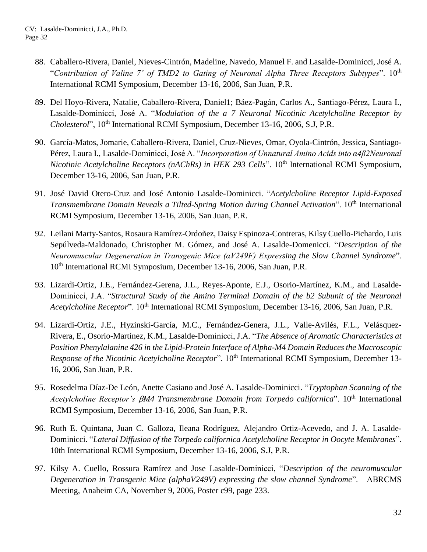- 88. Caballero-Rivera, Daniel, Nieves-Cintrón, Madeline, Navedo, Manuel F. and Lasalde-Dominicci, José A. "*Contribution of Valine 7' of TMD2 to Gating of Neuronal Alpha Three Receptors Subtypes*". 10th International RCMI Symposium, December 13-16, 2006, San Juan, P.R.
- 89. Del Hoyo-Rivera, Natalie, Caballero-Rivera, Daniel1; Báez-Pagán, Carlos A., Santiago-Pérez, Laura I., Lasalde-Dominicci, José A. "*Modulation of the a 7 Neuronal Nicotinic Acetylcholine Receptor by Cholesterol*", 10<sup>th</sup> International RCMI Symposium, December 13-16, 2006, S.J, P.R.
- 90. García-Matos, Jomarie, Caballero-Rivera, Daniel, Cruz-Nieves, Omar, Oyola-Cintrón, Jessica, Santiago-Pérez, Laura I., Lasalde-Dominicci, José A. "*Incorporation of Unnatural Amino Acids into α4β2Neuronal Nicotinic Acetylcholine Receptors (nAChRs) in HEK 293 Cells"*. 10<sup>th</sup> International RCMI Symposium, December 13-16, 2006, San Juan, P.R.
- 91. José David Otero-Cruz and José Antonio Lasalde-Dominicci. "*Acetylcholine Receptor Lipid-Exposed Transmembrane Domain Reveals a Tilted-Spring Motion during Channel Activation*". 10<sup>th</sup> International RCMI Symposium, December 13-16, 2006, San Juan, P.R.
- 92. Leilani Marty-Santos, Rosaura Ramírez-Ordoñez, Daisy Espinoza-Contreras, Kilsy Cuello-Pichardo, Luis Sepúlveda-Maldonado, Christopher M. Gómez, and José A. Lasalde-Domenicci. "*Description of the Neuromuscular Degeneration in Transgenic Mice (αV249F) Expressing the Slow Channel Syndrome*". 10<sup>th</sup> International RCMI Symposium, December 13-16, 2006, San Juan, P.R.
- 93. Lizardi-Ortiz, J.E., Fernández-Gerena, J.L., Reyes-Aponte, E.J., Osorio-Martínez, K.M., and Lasalde-Dominicci, J.A. "*Structural Study of the Amino Terminal Domain of the b2 Subunit of the Neuronal Acetylcholine Receptor*". 10<sup>th</sup> International RCMI Symposium, December 13-16, 2006, San Juan, P.R.
- 94. Lizardi-Ortiz, J.E., Hyzinski-García, M.C., Fernández-Genera, J.L., Valle-Avilés, F.L., Velásquez-Rivera, E., Osorio-Martínez, K.M., Lasalde-Dominicci, J.A. "*The Absence of Aromatic Characteristics at Position Phenylalanine 426 in the Lipid-Protein Interface of Alpha-M4 Domain Reduces the Macroscopic Response of the Nicotinic Acetylcholine Receptor*". 10<sup>th</sup> International RCMI Symposium, December 13-16, 2006, San Juan, P.R.
- 95. Rosedelma Díaz-De León, Anette Casiano and José A. Lasalde-Dominicci. "*Tryptophan Scanning of the*  Acetylcholine Receptor's βM4 Transmembrane Domain from Torpedo californica". 10<sup>th</sup> International RCMI Symposium, December 13-16, 2006, San Juan, P.R.
- 96. Ruth E. Quintana, Juan C. Galloza, Ileana Rodríguez, Alejandro Ortiz-Acevedo, and J. A. Lasalde-Dominicci. "*Lateral Diffusion of the Torpedo californica Acetylcholine Receptor in Oocyte Membranes*". 10th International RCMI Symposium, December 13-16, 2006, S.J, P.R.
- 97. Kilsy A. Cuello, Rossura Ramírez and Jose Lasalde-Dominicci, "*Description of the neuromuscular Degeneration in Transgenic Mice (alphaV249V) expressing the slow channel Syndrome*". ABRCMS Meeting, Anaheim CA, November 9, 2006, Poster c99, page 233.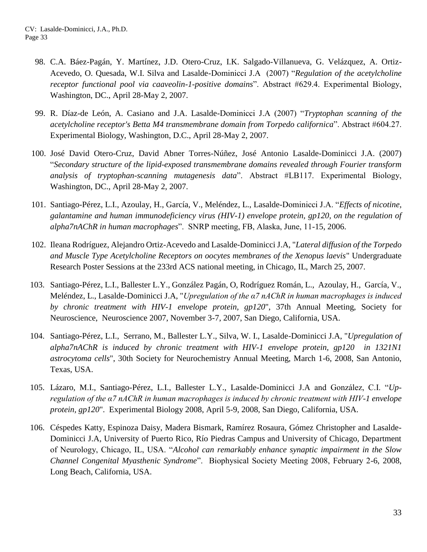- 98. C.A. Báez-Pagán, Y. Martínez, J.D. Otero-Cruz, I.K. Salgado-Villanueva, G. Velázquez, A. Ortiz-Acevedo, O. Quesada, W.I. Silva and Lasalde-Dominicci J.A (2007) "*Regulation of the acetylcholine receptor functional pool via caaveolin-1-positive domains*". Abstract #629.4. Experimental Biology, Washington, DC., April 28-May 2, 2007.
- 99. R. Díaz-de León, A. Casiano and J.A. Lasalde-Dominicci J.A (2007) "*Tryptophan scanning of the acetylcholine receptor's Betta M4 transmembrane domain from Torpedo californica*". Abstract #604.27. Experimental Biology, Washington, D.C., April 28-May 2, 2007.
- 100. José David Otero-Cruz, David Abner Torres-Núñez, José Antonio Lasalde-Dominicci J.A. (2007) "*Secondary structure of the lipid-exposed transmembrane domains revealed through Fourier transform analysis of tryptophan-scanning mutagenesis data*". Abstract #LB117. Experimental Biology, Washington, DC., April 28-May 2, 2007.
- 101. Santiago-Pérez, L.I., Azoulay, H., García, V., Meléndez, L., Lasalde-Dominicci J.A. "*Effects of nicotine, galantamine and human immunodeficiency virus (HIV-1) envelope protein, gp120, on the regulation of alpha7nAChR in human macrophages*". SNRP meeting, FB, Alaska, June, 11-15, 2006.
- 102. Ileana Rodríguez, Alejandro Ortiz-Acevedo and Lasalde-Dominicci J.A, "*Lateral diffusion of the Torpedo and Muscle Type Acetylcholine Receptors on oocytes membranes of the Xenopus laevis*" Undergraduate Research Poster Sessions at the 233rd ACS national meeting, in Chicago, IL, March 25, 2007.
- 103. Santiago-Pérez, L.I., Ballester L.Y., González Pagán, O, Rodríguez Román, L., Azoulay, H., García, V., Meléndez, L., Lasalde-Dominicci J.A, "*Upregulation of the α7 nAChR in human macrophages is induced by chronic treatment with HIV-1 envelope protein, gp120*", 37th Annual Meeting, Society for Neuroscience, Neuroscience 2007, November 3-7, 2007, San Diego, California, USA.
- 104. Santiago-Pérez, L.I., Serrano, M., Ballester L.Y., Silva, W. I., Lasalde-Dominicci J.A, "*Upregulation of alpha7nAChR is induced by chronic treatment with HIV-1 envelope protein, gp120 in 1321N1 astrocytoma cells*", 30th Society for Neurochemistry Annual Meeting, March 1-6, 2008, San Antonio, Texas, USA.
- 105. Lázaro, M.I., Santiago-Pérez, L.I., Ballester L.Y., Lasalde-Dominicci J.A and González, C.I. "*Upregulation of the α7 nAChR in human macrophages is induced by chronic treatment with HIV-1 envelope protein, gp120*". Experimental Biology 2008, April 5-9, 2008, San Diego, California, USA.
- 106. Céspedes Katty, Espinoza Daisy, Madera Bismark, Ramírez Rosaura, Gómez Christopher and Lasalde-Dominicci J.A, University of Puerto Rico, Río Piedras Campus and University of Chicago, Department of Neurology, Chicago, IL, USA. "*Alcohol can remarkably enhance synaptic impairment in the Slow Channel Congenital Myasthenic Syndrome*". Biophysical Society Meeting 2008, February 2-6, 2008, Long Beach, California, USA.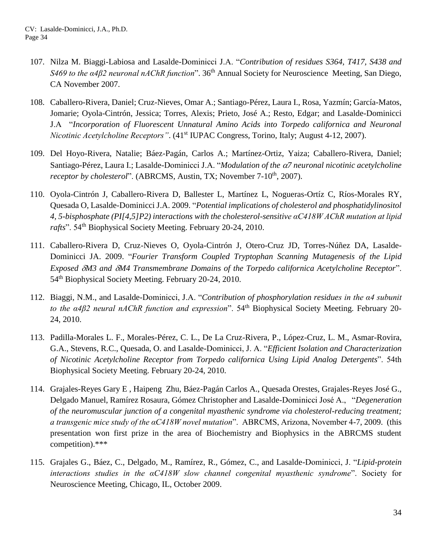- 107. Nilza M. Biaggi-Labiosa and Lasalde-Dominicci J.A. "*Contribution of residues S364, T417, S438 and S469 to the α4β2 neuronal nAChR function*". 36<sup>th</sup> Annual Society for Neuroscience Meeting, San Diego, CA November 2007.
- 108. Caballero-Rivera, Daniel; Cruz-Nieves, Omar A.; Santiago-Pérez, Laura I., Rosa, Yazmín; García-Matos, Jomarie; Oyola-Cintrón, Jessica; Torres, Alexis; Prieto, José A.; Resto, Edgar; and Lasalde-Dominicci J.A "*Incorporation of Fluorescent Unnatural Amino Acids into Torpedo californica and Neuronal Nicotinic Acetylcholine Receptors*". (41<sup>st</sup> IUPAC Congress, Torino, Italy; August 4-12, 2007).
- 109. Del Hoyo-Rivera, Natalie; Báez-Pagán, Carlos A.; Martínez-Ortiz, Yaiza; Caballero-Rivera, Daniel; Santiago-Pérez, Laura I.; Lasalde-Dominicci J.A. "*Modulation of the*  $\alpha$ *7 neuronal nicotinic acetylcholine receptor by cholesterol*". (ABRCMS, Austin, TX; November 7-10<sup>th</sup>, 2007).
- 110. Oyola-Cintrón J, Caballero-Rivera D, Ballester L, Martínez L, Nogueras-Ortíz C, Ríos-Morales RY, Quesada O, Lasalde-Dominicci J.A. 2009. "*Potential implications of cholesterol and phosphatidylinositol 4, 5-bisphosphate (PI[4,5]P2) interactions with the cholesterol-sensitive αC418W AChR mutation at lipid*  rafts". 54<sup>th</sup> Biophysical Society Meeting. February 20-24, 2010.
- 111. Caballero-Rivera D, Cruz-Nieves O, Oyola-Cintrón J, Otero-Cruz JD, Torres-Núñez DA, Lasalde-Dominicci JA. 2009. "*Fourier Transform Coupled Tryptophan Scanning Mutagenesis of the Lipid Exposed M3 and M4 Transmembrane Domains of the Torpedo californica Acetylcholine Receptor*". 54th Biophysical Society Meeting. February 20-24, 2010.
- 112. Biaggi, N.M., and Lasalde-Dominicci, J.A. "*Contribution of phosphorylation residues in the α4 subunit to the α4β2 neural nAChR function and expression*". 54<sup>th</sup> Biophysical Society Meeting. February 20-24, 2010.
- 113. Padilla-Morales L. F., Morales-Pérez, C. L., De La Cruz-Rivera, P., López-Cruz, L. M., Asmar-Rovira, G.A., Stevens, R.C., Quesada, O. and Lasalde-Dominicci, J. A. "*Efficient Isolation and Characterization of Nicotinic Acetylcholine Receptor from Torpedo californica Using Lipid Analog Detergents*". 54th Biophysical Society Meeting. February 20-24, 2010.
- 114. Grajales-Reyes Gary E , Haipeng Zhu, Báez-Pagán Carlos A., Quesada Orestes, Grajales-Reyes José G., Delgado Manuel, Ramírez Rosaura, Gómez Christopher and Lasalde-Dominicci José A., "*Degeneration of the neuromuscular junction of a congenital myasthenic syndrome via cholesterol-reducing treatment; a transgenic mice study of the αC418W novel mutation*". ABRCMS, Arizona, November 4-7, 2009. (this presentation won first prize in the area of Biochemistry and Biophysics in the ABRCMS student competition).\*\*\*
- 115. Grajales G., Báez, C., Delgado, M., Ramírez, R., Gómez, C., and Lasalde-Dominicci, J. "*Lipid-protein interactions studies in the αC418W slow channel congenital myasthenic syndrome*". Society for Neuroscience Meeting, Chicago, IL, October 2009.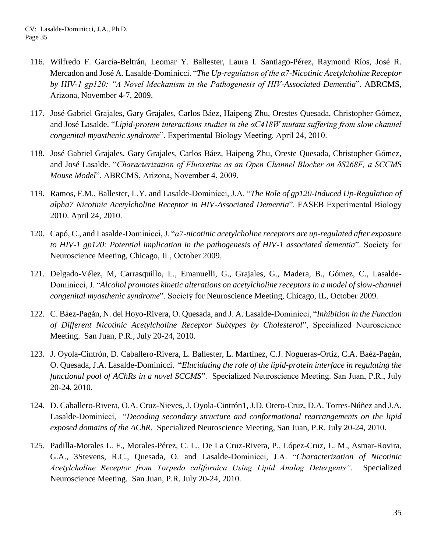- 116. Wilfredo F. García-Beltrán, Leomar Y. Ballester, Laura I. Santiago-Pérez, Raymond Ríos, José R. Mercadon and José A. Lasalde-Dominicci. "*The Up-regulation of the α7-Nicotinic Acetylcholine Receptor by HIV-1 gp120: "A Novel Mechanism in the Pathogenesis of HIV-Associated Dementia*". ABRCMS, Arizona, November 4-7, 2009.
- 117. José Gabriel Grajales, Gary Grajales, Carlos Báez, Haipeng Zhu, Orestes Quesada, Christopher Gómez, and José Lasalde. "*Lipid-protein interactions studies in the αC418W mutant suffering from slow channel congenital myasthenic syndrome*". Experimental Biology Meeting. April 24, 2010.
- 118. José Gabriel Grajales, Gary Grajales, Carlos Báez, Haipeng Zhu, Oreste Quesada, Christopher Gómez, and José Lasalde. "*Characterization of Fluoxetine as an Open Channel Blocker on δS268F, a SCCMS Mouse Model*". ABRCMS, Arizona, November 4, 2009.
- 119. Ramos, F.M., Ballester, L.Y. and Lasalde-Dominicci, J.A. "*The Role of gp120-Induced Up-Regulation of alpha7 Nicotinic Acetylcholine Receptor in HIV-Associated Dementia*". FASEB Experimental Biology 2010. April 24, 2010.
- 120. Capó, C., and Lasalde-Dominicci, J. "*α7-nicotinic acetylcholine receptors are up-regulated after exposure to HIV-1 gp120: Potential implication in the pathogenesis of HIV-1 associated dementia*". Society for Neuroscience Meeting, Chicago, IL, October 2009.
- 121. Delgado-Vélez, M, Carrasquillo, L., Emanuelli, G., Grajales, G., Madera, B., Gómez, C., Lasalde-Dominicci, J. "*Alcohol promotes kinetic alterations on acetylcholine receptors in a model of slow-channel congenital myasthenic syndrome*". Society for Neuroscience Meeting, Chicago, IL, October 2009.
- 122. C. Báez-Pagán, N. del Hoyo-Rivera, O. Quesada, and J. A. Lasalde-Dominicci, "*Inhibition in the Function of Different Nicotinic Acetylcholine Receptor Subtypes by Cholesterol*", Specialized Neuroscience Meeting. San Juan, P.R., July 20-24, 2010.
- 123. J. Oyola-Cintrón, D. Caballero-Rivera, L. Ballester, L. Martínez, C.J. Nogueras-Ortiz, C.A. Baéz-Pagán, O. Quesada, J.A. Lasalde-Dominicci. "*Elucidating the role of the lipid-protein interface in regulating the functional pool of AChRs in a novel SCCMS*". Specialized Neuroscience Meeting. San Juan, P.R., July 20-24, 2010.
- 124. D. Caballero-Rivera, O.A. Cruz-Nieves, J. Oyola-Cintrón1, J.D. Otero-Cruz, D.A. Torres-Núñez and J.A. Lasalde-Dominicci, "*Decoding secondary structure and conformational rearrangements on the lipid exposed domains of the AChR*. Specialized Neuroscience Meeting, San Juan, P.R. July 20-24, 2010.
- 125. Padilla-Morales L. F., Morales-Pérez, C. L., De La Cruz-Rivera, P., López-Cruz, L. M., Asmar-Rovira, G.A., 3Stevens, R.C., Quesada, O. and Lasalde-Dominicci, J.A. "*Characterization of Nicotinic Acetylcholine Receptor from Torpedo californica Using Lipid Analog Detergents"*. Specialized Neuroscience Meeting. San Juan, P.R. July 20-24, 2010.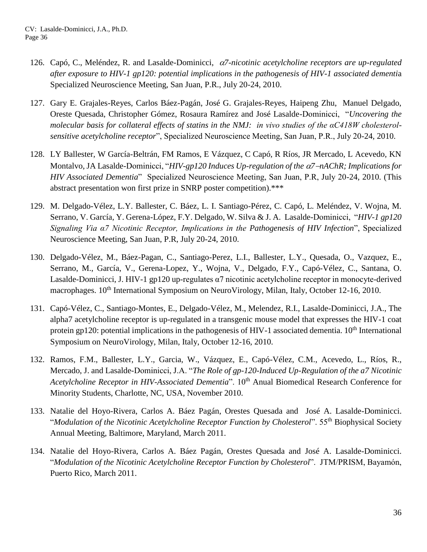- 126. Capó, C., Meléndez, R. and Lasalde-Dominicci,  $\alpha$ 7-nicotinic acetylcholine receptors are up-regulated *after exposure to HIV-1 gp120: potential implications in the pathogenesis of HIV-1 associated dementi*a Specialized Neuroscience Meeting, San Juan, P.R., July 20-24, 2010.
- 127. Gary E. Grajales-Reyes, Carlos Báez-Pagán, José G. Grajales-Reyes, Haipeng Zhu, Manuel Delgado, Oreste Quesada, Christopher Gómez, Rosaura Ramírez and José Lasalde-Dominicci, "*Uncovering the molecular basis for collateral effects of statins in the NMJ: in vivo studies of the αC418W cholesterolsensitive acetylcholine receptor*", Specialized Neuroscience Meeting, San Juan, P.R., July 20-24, 2010.
- 128. LY Ballester, W García-Beltrán, FM Ramos, E Vázquez, C Capó, R Ríos, JR Mercado, L Acevedo, KN Montalvo, JA Lasalde-Dominicci, "*HIV-gp120 Induces Up-regulation of the*  $\alpha$ *7*-*nAChR*; *Implications for HIV Associated Dementia*" Specialized Neuroscience Meeting, San Juan, P.R, July 20-24, 2010. (This abstract presentation won first prize in SNRP poster competition).\*\*\*
- 129. M. Delgado-Vélez, L.Y. Ballester, C. Báez, L. I. Santiago-Pérez, C. Capó, L. Meléndez, V. Wojna, M. Serrano, V. García, Y. Gerena-López, F.Y. Delgado, W. Silva & J. A. Lasalde-Dominicci, "*HIV-1 gp120 Signaling Via α7 Nicotinic Receptor, Implications in the Pathogenesis of HIV Infection*", Specialized Neuroscience Meeting, San Juan, P.R, July 20-24, 2010.
- 130. Delgado-Vélez, M., Báez-Pagan, C., Santiago-Perez, L.I., Ballester, L.Y., Quesada, O., Vazquez, E., Serrano, M., García, V., Gerena-Lopez, Y., Wojna, V., Delgado, F.Y., Capó-Vélez, C., Santana, O. Lasalde-Dominicci, J. HIV-1 gp120 up-regulates α7 nicotinic acetylcholine receptor in monocyte-derived macrophages. 10<sup>th</sup> International Symposium on NeuroVirology, Milan, Italy, October 12-16, 2010.
- 131. Capó-Vélez, C., Santiago-Montes, E., Delgado-Vélez, M., Melendez, R.I., Lasalde-Dominicci, J.A., The alpha7 acetylcholine receptor is up-regulated in a transgenic mouse model that expresses the HIV-1 coat protein gp120: potential implications in the pathogenesis of HIV-1 associated dementia.  $10<sup>th</sup>$  International Symposium on NeuroVirology, Milan, Italy, October 12-16, 2010.
- 132. Ramos, F.M., Ballester, L.Y., Garcia, W., Vázquez, E., Capó-Vélez, C.M., Acevedo, L., Ríos, R., Mercado, J. and Lasalde-Dominicci, J.A. "*The Role of gp-120-Induced Up-Regulation of the a7 Nicotinic Acetylcholine Receptor in HIV-Associated Dementia*". 10<sup>th</sup> Anual Biomedical Research Conference for Minority Students, Charlotte, NC, USA, November 2010.
- 133. Natalie del Hoyo-Rivera, Carlos A. Báez Pagán, Orestes Quesada and José A. Lasalde-Dominicci. "*Modulation of the Nicotinic Acetylcholine Receptor Function by Cholesterol*". 55th Biophysical Society Annual Meeting, Baltimore, Maryland, March 2011.
- 134. Natalie del Hoyo-Rivera, Carlos A. Báez Pagán, Orestes Quesada and José A. Lasalde-Dominicci. "*Modulation of the Nicotinic Acetylcholine Receptor Function by Cholesterol*". JTM/PRISM, Bayamón, Puerto Rico, March 2011.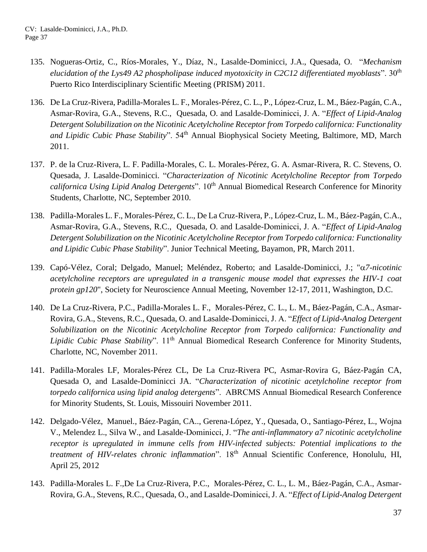- 135. Nogueras-Ortiz, C., Ríos-Morales, Y., Díaz, N., Lasalde-Dominicci, J.A., Quesada, O. "*Mechanism elucidation of the Lys49 A2 phospholipase induced myotoxicity in C2C12 differentiated myoblasts*". 30th Puerto Rico Interdisciplinary Scientific Meeting (PRISM) 2011.
- 136. De La Cruz-Rivera, Padilla-Morales L. F., Morales-Pérez, C. L., P., López-Cruz, L. M., Báez-Pagán, C.A., Asmar-Rovira, G.A., Stevens, R.C., Quesada, O. and Lasalde-Dominicci, J. A. "*Effect of Lipid-Analog Detergent Solubilization on the Nicotinic Acetylcholine Receptor from Torpedo californica: Functionality*  and Lipidic Cubic Phase Stability". 54<sup>th</sup> Annual Biophysical Society Meeting, Baltimore, MD, March 2011.
- 137. P. de la Cruz-Rivera, L. F. Padilla-Morales, C. L. Morales-Pérez, G. A. Asmar-Rivera, R. C. Stevens, O. Quesada, J. Lasalde-Dominicci. "*Characterization of Nicotinic Acetylcholine Receptor from Torpedo californica Using Lipid Analog Detergents*". 10<sup>th</sup> Annual Biomedical Research Conference for Minority Students, Charlotte, NC, September 2010.
- 138. Padilla-Morales L. F., Morales-Pérez, C. L., De La Cruz-Rivera, P., López-Cruz, L. M., Báez-Pagán, C.A., Asmar-Rovira, G.A., Stevens, R.C., Quesada, O. and Lasalde-Dominicci, J. A. "*Effect of Lipid-Analog Detergent Solubilization on the Nicotinic Acetylcholine Receptor from Torpedo californica: Functionality and Lipidic Cubic Phase Stability*". Junior Technical Meeting, Bayamon, PR, March 2011.
- 139. Capó-Vélez, Coral; Delgado, Manuel; Meléndez, Roberto; and Lasalde-Dominicci, J.; "α7-nicotinic *acetylcholine receptors are upregulated in a transgenic mouse model that expresses the HIV-1 coat protein gp120*", Society for Neuroscience Annual Meeting, November 12-17, 2011, Washington, D.C.
- 140. De La Cruz-Rivera, P.C., Padilla-Morales L. F., Morales-Pérez, C. L., L. M., Báez-Pagán, C.A., Asmar-Rovira, G.A., Stevens, R.C., Quesada, O. and Lasalde-Dominicci, J. A. "*Effect of Lipid-Analog Detergent Solubilization on the Nicotinic Acetylcholine Receptor from Torpedo californica: Functionality and Lipidic Cubic Phase Stability*". 11<sup>th</sup> Annual Biomedical Research Conference for Minority Students, Charlotte, NC, November 2011.
- 141. Padilla-Morales LF, Morales-Pérez CL, De La Cruz-Rivera PC, Asmar-Rovira G, Báez-Pagán CA, Quesada O, and Lasalde-Dominicci JA. "*Characterization of nicotinic acetylcholine receptor from torpedo californica using lipid analog detergents*". ABRCMS Annual Biomedical Research Conference for Minority Students, St. Louis, Missouiri November 2011.
- 142. Delgado-Vélez, Manuel., Báez-Pagán, CA.., Gerena-López, Y., Quesada, O., Santiago-Pérez, L., Wojna V., Melendez L., Silva W., and Lasalde-Dominicci, J. "*The anti-inflammatory a7 nicotinic acetylcholine receptor is upregulated in immune cells from HIV-infected subjects: Potential implications to the treatment of HIV-relates chronic inflammation*". 18th Annual Scientific Conference, Honolulu, HI, April 25, 2012
- 143. Padilla-Morales L. F.,De La Cruz-Rivera, P.C., Morales-Pérez, C. L., L. M., Báez-Pagán, C.A., Asmar-Rovira, G.A., Stevens, R.C., Quesada, O., and Lasalde-Dominicci, J. A. "*Effect of Lipid-Analog Detergent*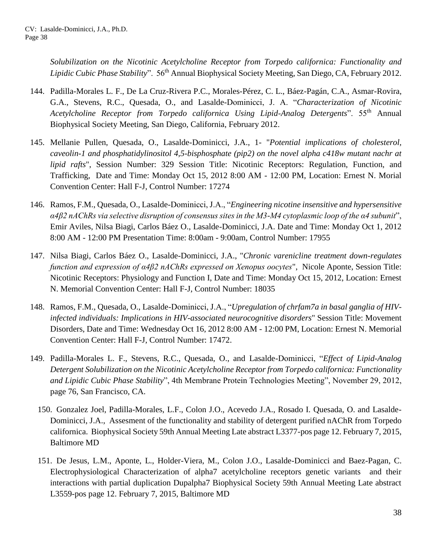*Solubilization on the Nicotinic Acetylcholine Receptor from Torpedo californica: Functionality and Lipidic Cubic Phase Stability*". 56<sup>th</sup> Annual Biophysical Society Meeting, San Diego, CA, February 2012.

- 144. Padilla-Morales L. F., De La Cruz-Rivera P.C., Morales-Pérez, C. L., Báez-Pagán, C.A., Asmar-Rovira, G.A., Stevens, R.C., Quesada, O., and Lasalde-Dominicci, J. A. "*Characterization of Nicotinic Acetylcholine Receptor from Torpedo californica Using Lipid-Analog Detergents*". 55th Annual Biophysical Society Meeting, San Diego, California, February 2012.
- 145. Mellanie Pullen, Quesada, O., Lasalde-Dominicci, J.A., 1- "*Potential implications of cholesterol, caveolin-1 and phosphatidylinositol 4,5-bisphosphate (pip2) on the novel alpha c418w mutant nachr at lipid rafts*", Session Number: 329 Session Title: Nicotinic Receptors: Regulation, Function, and Trafficking, Date and Time: Monday Oct 15, 2012 8:00 AM - 12:00 PM, Location: Ernest N. Morial Convention Center: Hall F-J, Control Number: 17274
- 146. Ramos, F.M., Quesada, O., Lasalde-Dominicci, J.A., "*Engineering nicotine insensitive and hypersensitive α4β2 nAChRs via selective disruption of consensus sites in the M3-M4 cytoplasmic loop of the α4 subunit*", Emir Aviles, Nilsa Biagi, Carlos Báez O., Lasalde-Dominicci, J.A. Date and Time: Monday Oct 1, 2012 8:00 AM - 12:00 PM Presentation Time: 8:00am - 9:00am, Control Number: 17955
- 147. Nilsa Biagi, Carlos Báez O., Lasalde-Dominicci, J.A., "*Chronic varenicline treatment down-regulates function and expression of α4β2 nAChRs expressed on Xenopus oocytes*", Nicole Aponte, Session Title: Nicotinic Receptors: Physiology and Function I, Date and Time: Monday Oct 15, 2012, Location: Ernest N. Memorial Convention Center: Hall F-J, Control Number: 18035
- 148. Ramos, F.M., Quesada, O., Lasalde-Dominicci, J.A., "*Upregulation of chrfam7a in basal ganglia of HIVinfected individuals: Implications in HIV-associated neurocognitive disorders*" Session Title: Movement Disorders, Date and Time: Wednesday Oct 16, 2012 8:00 AM - 12:00 PM, Location: Ernest N. Memorial Convention Center: Hall F-J, Control Number: 17472.
- 149. Padilla-Morales L. F., Stevens, R.C., Quesada, O., and Lasalde-Dominicci, "*Effect of Lipid-Analog Detergent Solubilization on the Nicotinic Acetylcholine Receptor from Torpedo californica: Functionality and Lipidic Cubic Phase Stability*", 4th Membrane Protein Technologies Meeting", November 29, 2012, page 76, San Francisco, CA.
	- 150. Gonzalez Joel, Padilla-Morales, L.F., Colon J.O., Acevedo J.A., Rosado I. Quesada, O. and Lasalde-Dominicci, J.A., Assesment of the functionality and stability of detergent purified nAChR from Torpedo californica. Biophysical Society 59th Annual Meeting Late abstract L3377-pos page 12. February 7, 2015, Baltimore MD
	- 151. De Jesus, L.M., Aponte, L., Holder-Viera, M., Colon J.O., Lasalde-Dominicci and Baez-Pagan, C. Electrophysiological Characterization of alpha7 acetylcholine receptors genetic variants and their interactions with partial duplication Dupalpha7 Biophysical Society 59th Annual Meeting Late abstract L3559-pos page 12. February 7, 2015, Baltimore MD